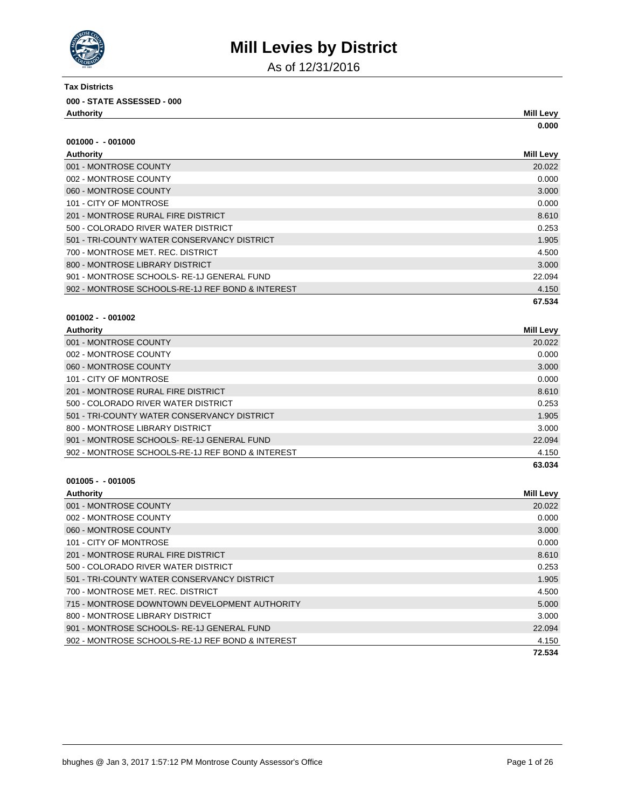

As of 12/31/2016

| <b>Tax Districts</b>               |                  |
|------------------------------------|------------------|
| 000 - STATE ASSESSED - 000         |                  |
| Authority                          | <b>Mill Levy</b> |
|                                    | 0.000            |
| $001000 - 001000$                  |                  |
| Authority                          | <b>Mill Levy</b> |
| 001 - MONTROSE COUNTY              | 20.022           |
| 002 - MONTROSE COUNTY              | 0.000            |
| 060 - MONTROSE COUNTY              | 3.000            |
| 101 - CITY OF MONTROSE             | 0.000            |
| 201 - MONTROSE RURAL FIRE DISTRICT | 8.610            |

| LYT INCREASE INCRETING DIGITING                  | <b>0.010</b> |
|--------------------------------------------------|--------------|
| 500 - COLORADO RIVER WATER DISTRICT              | 0.253        |
| 501 - TRI-COUNTY WATER CONSERVANCY DISTRICT      | 1.905        |
| 700 - MONTROSE MET. REC. DISTRICT                | 4.500        |
| 800 - MONTROSE LIBRARY DISTRICT                  | 3.000        |
| 901 - MONTROSE SCHOOLS-RE-1J GENERAL FUND        | 22.094       |
| 902 - MONTROSE SCHOOLS-RE-1J REF BOND & INTEREST | 4.150        |

### **001002 - - 001002**

| Authority                                        | Mill Levy |
|--------------------------------------------------|-----------|
| 001 - MONTROSE COUNTY                            | 20.022    |
| 002 - MONTROSE COUNTY                            | 0.000     |
| 060 - MONTROSE COUNTY                            | 3.000     |
| 101 - CITY OF MONTROSE                           | 0.000     |
| 201 - MONTROSE RURAL FIRE DISTRICT               | 8.610     |
| 500 - COLORADO RIVER WATER DISTRICT              | 0.253     |
| 501 - TRI-COUNTY WATER CONSERVANCY DISTRICT      | 1.905     |
| 800 - MONTROSE LIBRARY DISTRICT                  | 3.000     |
| 901 - MONTROSE SCHOOLS-RE-1J GENERAL FUND        | 22.094    |
| 902 - MONTROSE SCHOOLS-RE-1J REF BOND & INTEREST | 4.150     |
|                                                  | 63.034    |

#### **001005 - - 001005**

| <b>Authority</b>                                 | <b>Mill Levy</b> |
|--------------------------------------------------|------------------|
| 001 - MONTROSE COUNTY                            | 20.022           |
| 002 - MONTROSE COUNTY                            | 0.000            |
| 060 - MONTROSE COUNTY                            | 3.000            |
| 101 - CITY OF MONTROSE                           | 0.000            |
| 201 - MONTROSE RURAL FIRE DISTRICT               | 8.610            |
| 500 - COLORADO RIVER WATER DISTRICT              | 0.253            |
| 501 - TRI-COUNTY WATER CONSERVANCY DISTRICT      | 1.905            |
| 700 - MONTROSE MET. REC. DISTRICT                | 4.500            |
| 715 - MONTROSE DOWNTOWN DEVELOPMENT AUTHORITY    | 5.000            |
| 800 - MONTROSE LIBRARY DISTRICT                  | 3.000            |
| 901 - MONTROSE SCHOOLS-RE-1J GENERAL FUND        | 22.094           |
| 902 - MONTROSE SCHOOLS-RE-1J REF BOND & INTEREST | 4.150            |
|                                                  | 72.534           |

**67.534**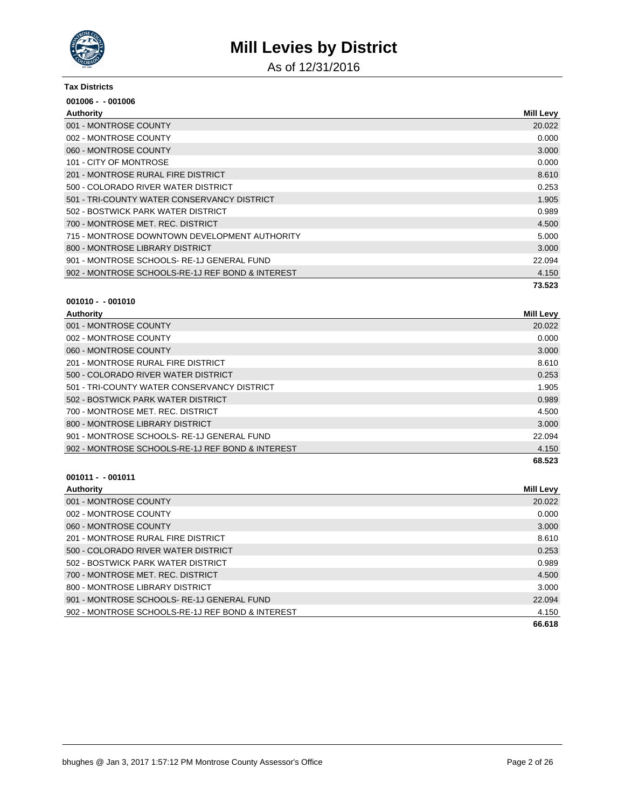

As of 12/31/2016

#### **Tax Districts**

| $001006 - 001006$                                |                  |
|--------------------------------------------------|------------------|
| Authority                                        | <b>Mill Levy</b> |
| 001 - MONTROSE COUNTY                            | 20.022           |
| 002 - MONTROSE COUNTY                            | 0.000            |
| 060 - MONTROSE COUNTY                            | 3.000            |
| 101 - CITY OF MONTROSE                           | 0.000            |
| 201 - MONTROSE RURAL FIRE DISTRICT               | 8.610            |
| 500 - COLORADO RIVER WATER DISTRICT              | 0.253            |
| 501 - TRI-COUNTY WATER CONSERVANCY DISTRICT      | 1.905            |
| 502 - BOSTWICK PARK WATER DISTRICT               | 0.989            |
| 700 - MONTROSE MET, REC. DISTRICT                | 4.500            |
| 715 - MONTROSE DOWNTOWN DEVELOPMENT AUTHORITY    | 5.000            |
| 800 - MONTROSE LIBRARY DISTRICT                  | 3.000            |
| 901 - MONTROSE SCHOOLS-RE-1J GENERAL FUND        | 22.094           |
| 902 - MONTROSE SCHOOLS-RE-1J REF BOND & INTEREST | 4.150            |
|                                                  | 73.523           |

### **001010 - - 001010**

| Authority               | Mill<br>_evv |
|-------------------------|--------------|
| MONTDOOF OOUNTY<br>0.04 | 00.000       |

| 001 - MONTROSE COUNTY                            | 20.022 |
|--------------------------------------------------|--------|
| 002 - MONTROSE COUNTY                            | 0.000  |
| 060 - MONTROSE COUNTY                            | 3.000  |
| 201 - MONTROSE RURAL FIRE DISTRICT               | 8.610  |
| 500 - COLORADO RIVER WATER DISTRICT              | 0.253  |
| 501 - TRI-COUNTY WATER CONSERVANCY DISTRICT      | 1.905  |
| 502 - BOSTWICK PARK WATER DISTRICT               | 0.989  |
| 700 - MONTROSE MET, REC. DISTRICT                | 4.500  |
| 800 - MONTROSE LIBRARY DISTRICT                  | 3.000  |
| 901 - MONTROSE SCHOOLS-RE-1J GENERAL FUND        | 22.094 |
| 902 - MONTROSE SCHOOLS-RE-1J REF BOND & INTEREST | 4.150  |
|                                                  | 68.523 |

| <b>Authority</b>                                 | Mill Levy |
|--------------------------------------------------|-----------|
| 001 - MONTROSE COUNTY                            | 20.022    |
| 002 - MONTROSE COUNTY                            | 0.000     |
| 060 - MONTROSE COUNTY                            | 3.000     |
| 201 - MONTROSE RURAL FIRE DISTRICT               | 8.610     |
| 500 - COLORADO RIVER WATER DISTRICT              | 0.253     |
| 502 - BOSTWICK PARK WATER DISTRICT               | 0.989     |
| 700 - MONTROSE MET. REC. DISTRICT                | 4.500     |
| 800 - MONTROSE LIBRARY DISTRICT                  | 3.000     |
| 901 - MONTROSE SCHOOLS-RE-1J GENERAL FUND        | 22.094    |
| 902 - MONTROSE SCHOOLS-RE-1J REF BOND & INTEREST | 4.150     |
|                                                  | 66.618    |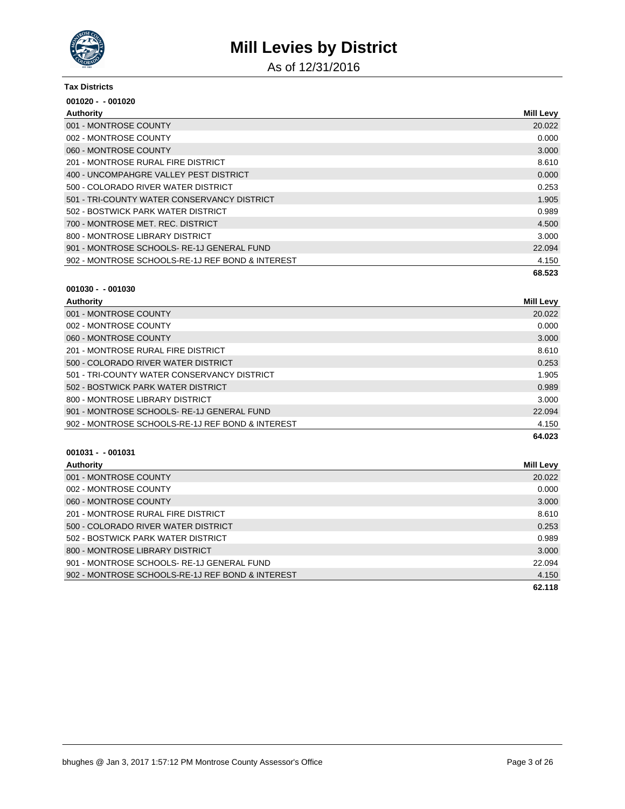

As of 12/31/2016

#### **Tax Districts**

| $001020 - 001020$                                |                  |
|--------------------------------------------------|------------------|
| Authority                                        | <b>Mill Levy</b> |
| 001 - MONTROSE COUNTY                            | 20.022           |
| 002 - MONTROSE COUNTY                            | 0.000            |
| 060 - MONTROSE COUNTY                            | 3.000            |
| 201 - MONTROSE RURAL FIRE DISTRICT               | 8.610            |
| 400 - UNCOMPAHGRE VALLEY PEST DISTRICT           | 0.000            |
| 500 - COLORADO RIVER WATER DISTRICT              | 0.253            |
| 501 - TRI-COUNTY WATER CONSERVANCY DISTRICT      | 1.905            |
| 502 - BOSTWICK PARK WATER DISTRICT               | 0.989            |
| 700 - MONTROSE MET. REC. DISTRICT                | 4.500            |
| 800 - MONTROSE LIBRARY DISTRICT                  | 3.000            |
| 901 - MONTROSE SCHOOLS-RE-1J GENERAL FUND        | 22.094           |
| 902 - MONTROSE SCHOOLS-RE-1J REF BOND & INTEREST | 4.150            |
|                                                  | 68.523           |

#### **001030 - - 001030**

| Authority                                        | <b>Mill Levy</b> |
|--------------------------------------------------|------------------|
| 001 - MONTROSE COUNTY                            | 20.022           |
| 002 - MONTROSE COUNTY                            | 0.000            |
| 060 - MONTROSE COUNTY                            | 3.000            |
| 201 - MONTROSE RURAL FIRE DISTRICT               | 8.610            |
| 500 - COLORADO RIVER WATER DISTRICT              | 0.253            |
| 501 - TRI-COUNTY WATER CONSERVANCY DISTRICT      | 1.905            |
| 502 - BOSTWICK PARK WATER DISTRICT               | 0.989            |
| 800 - MONTROSE LIBRARY DISTRICT                  | 3.000            |
| 901 - MONTROSE SCHOOLS-RE-1J GENERAL FUND        | 22.094           |
| 902 - MONTROSE SCHOOLS-RE-1J REF BOND & INTEREST | 4.150            |
|                                                  | 64.023           |

| <b>Authority</b>                                 | <b>Mill Levy</b> |
|--------------------------------------------------|------------------|
| 001 - MONTROSE COUNTY                            | 20.022           |
| 002 - MONTROSE COUNTY                            | 0.000            |
| 060 - MONTROSE COUNTY                            | 3.000            |
| 201 - MONTROSE RURAL FIRE DISTRICT               | 8.610            |
| 500 - COLORADO RIVER WATER DISTRICT              | 0.253            |
| 502 - BOSTWICK PARK WATER DISTRICT               | 0.989            |
| 800 - MONTROSE LIBRARY DISTRICT                  | 3.000            |
| 901 - MONTROSE SCHOOLS-RE-1J GENERAL FUND        | 22.094           |
| 902 - MONTROSE SCHOOLS-RE-1J REF BOND & INTEREST | 4.150            |
|                                                  | 62.118           |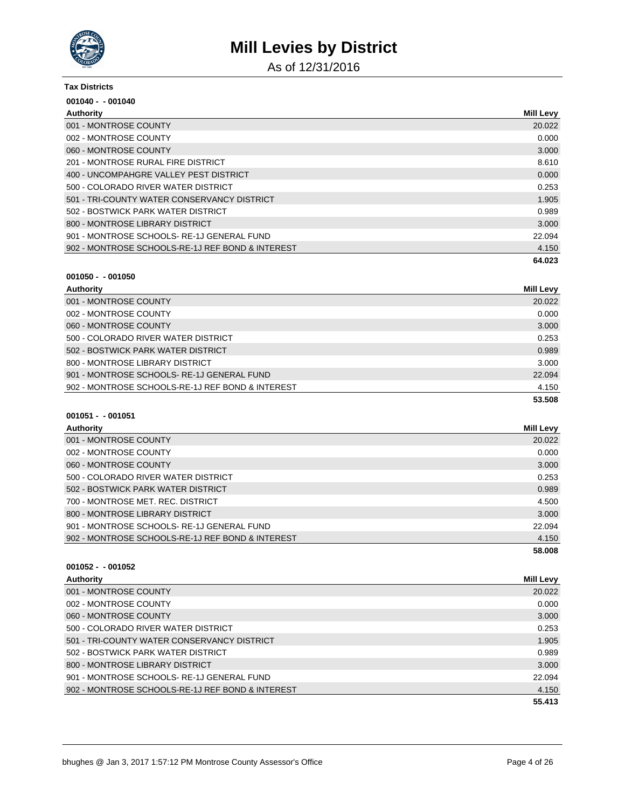

As of 12/31/2016

#### **Tax Districts**

| $001040 - 001040$                                |                  |
|--------------------------------------------------|------------------|
| Authority                                        | <b>Mill Levy</b> |
| 001 - MONTROSE COUNTY                            | 20.022           |
| 002 - MONTROSE COUNTY                            | 0.000            |
| 060 - MONTROSE COUNTY                            | 3.000            |
| 201 - MONTROSE RURAL FIRE DISTRICT               | 8.610            |
| 400 - UNCOMPAHGRE VALLEY PEST DISTRICT           | 0.000            |
| 500 - COLORADO RIVER WATER DISTRICT              | 0.253            |
| 501 - TRI-COUNTY WATER CONSERVANCY DISTRICT      | 1.905            |
| 502 - BOSTWICK PARK WATER DISTRICT               | 0.989            |
| 800 - MONTROSE LIBRARY DISTRICT                  | 3.000            |
| 901 - MONTROSE SCHOOLS-RE-1J GENERAL FUND        | 22.094           |
| 902 - MONTROSE SCHOOLS-RE-1J REF BOND & INTEREST | 4.150            |
|                                                  | 64.023           |

### **001050 - - 001050**

| Authority                                        | Mill Levy |
|--------------------------------------------------|-----------|
| 001 - MONTROSE COUNTY                            | 20.022    |
| 002 - MONTROSE COUNTY                            | 0.000     |
| 060 - MONTROSE COUNTY                            | 3.000     |
| 500 - COLORADO RIVER WATER DISTRICT              | 0.253     |
| 502 - BOSTWICK PARK WATER DISTRICT               | 0.989     |
| 800 - MONTROSE LIBRARY DISTRICT                  | 3.000     |
| 901 - MONTROSE SCHOOLS-RE-1J GENERAL FUND        | 22.094    |
| 902 - MONTROSE SCHOOLS-RE-1J REF BOND & INTEREST | 4.150     |
|                                                  | 53.508    |

### **001051 - - 001051**

| Authority                                        | Mill Levy |
|--------------------------------------------------|-----------|
| 001 - MONTROSE COUNTY                            | 20.022    |
| 002 - MONTROSE COUNTY                            | 0.000     |
| 060 - MONTROSE COUNTY                            | 3.000     |
| 500 - COLORADO RIVER WATER DISTRICT              | 0.253     |
| 502 - BOSTWICK PARK WATER DISTRICT               | 0.989     |
| 700 - MONTROSE MET. REC. DISTRICT                | 4.500     |
| 800 - MONTROSE LIBRARY DISTRICT                  | 3.000     |
| 901 - MONTROSE SCHOOLS-RE-1J GENERAL FUND        | 22.094    |
| 902 - MONTROSE SCHOOLS-RE-1J REF BOND & INTEREST | 4.150     |
|                                                  | 58.008    |

| Authority                                        | Mill Levy |
|--------------------------------------------------|-----------|
| 001 - MONTROSE COUNTY                            | 20.022    |
| 002 - MONTROSE COUNTY                            | 0.000     |
| 060 - MONTROSE COUNTY                            | 3.000     |
| 500 - COLORADO RIVER WATER DISTRICT              | 0.253     |
| 501 - TRI-COUNTY WATER CONSERVANCY DISTRICT      | 1.905     |
| 502 - BOSTWICK PARK WATER DISTRICT               | 0.989     |
| 800 - MONTROSE LIBRARY DISTRICT                  | 3.000     |
| 901 - MONTROSE SCHOOLS-RE-1J GENERAL FUND        | 22.094    |
| 902 - MONTROSE SCHOOLS-RE-1J REF BOND & INTEREST | 4.150     |
|                                                  | 55.413    |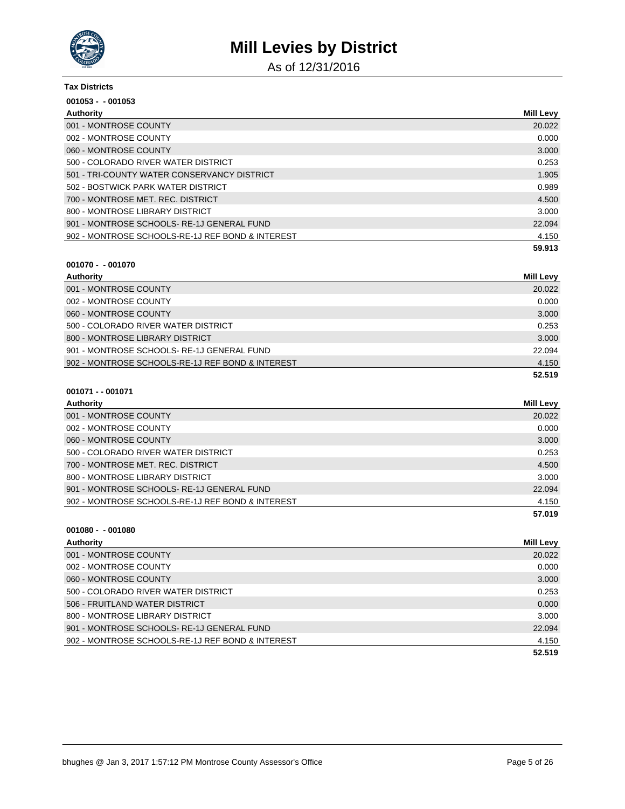

As of 12/31/2016

| <b>Tax Districts</b>                             |                  |
|--------------------------------------------------|------------------|
| $001053 - 001053$                                |                  |
| Authority                                        | <b>Mill Levy</b> |
| 001 - MONTROSE COUNTY                            | 20.022           |
| 002 - MONTROSE COUNTY                            | 0.000            |
| 060 - MONTROSE COUNTY                            | 3.000            |
| 500 - COLORADO RIVER WATER DISTRICT              | 0.253            |
| 501 - TRI-COUNTY WATER CONSERVANCY DISTRICT      | 1.905            |
| 502 - BOSTWICK PARK WATER DISTRICT               | 0.989            |
| 700 - MONTROSE MET. REC. DISTRICT                | 4.500            |
| 800 - MONTROSE LIBRARY DISTRICT                  | 3.000            |
| 901 - MONTROSE SCHOOLS-RE-1J GENERAL FUND        | 22.094           |
| 902 - MONTROSE SCHOOLS-RE-1J REF BOND & INTEREST | 4.150            |
|                                                  | 59.913           |

### **001070 - - 001070**

| Authority                                        | <b>Mill Levy</b> |
|--------------------------------------------------|------------------|
| 001 - MONTROSE COUNTY                            | 20.022           |
| 002 - MONTROSE COUNTY                            | 0.000            |
| 060 - MONTROSE COUNTY                            | 3.000            |
| 500 - COLORADO RIVER WATER DISTRICT              | 0.253            |
| 800 - MONTROSE LIBRARY DISTRICT                  | 3.000            |
| 901 - MONTROSE SCHOOLS-RE-1J GENERAL FUND        | 22.094           |
| 902 - MONTROSE SCHOOLS-RE-1J REF BOND & INTEREST | 4.150            |
|                                                  | 52.519           |

#### **001071 - - 001071**

| Authority                                        | <b>Mill Levy</b> |
|--------------------------------------------------|------------------|
| 001 - MONTROSE COUNTY                            | 20.022           |
| 002 - MONTROSE COUNTY                            | 0.000            |
| 060 - MONTROSE COUNTY                            | 3.000            |
| 500 - COLORADO RIVER WATER DISTRICT              | 0.253            |
| 700 - MONTROSE MET. REC. DISTRICT                | 4.500            |
| 800 - MONTROSE LIBRARY DISTRICT                  | 3.000            |
| 901 - MONTROSE SCHOOLS-RE-1J GENERAL FUND        | 22.094           |
| 902 - MONTROSE SCHOOLS-RE-1J REF BOND & INTEREST | 4.150            |
|                                                  | 57.019           |
|                                                  |                  |

| Authority                                        | <b>Mill Levy</b> |
|--------------------------------------------------|------------------|
| 001 - MONTROSE COUNTY                            | 20.022           |
| 002 - MONTROSE COUNTY                            | 0.000            |
| 060 - MONTROSE COUNTY                            | 3.000            |
| 500 - COLORADO RIVER WATER DISTRICT              | 0.253            |
| 506 - FRUITLAND WATER DISTRICT                   | 0.000            |
| 800 - MONTROSE LIBRARY DISTRICT                  | 3.000            |
| 901 - MONTROSE SCHOOLS-RE-1J GENERAL FUND        | 22.094           |
| 902 - MONTROSE SCHOOLS-RE-1J REF BOND & INTEREST | 4.150            |
|                                                  | 52.519           |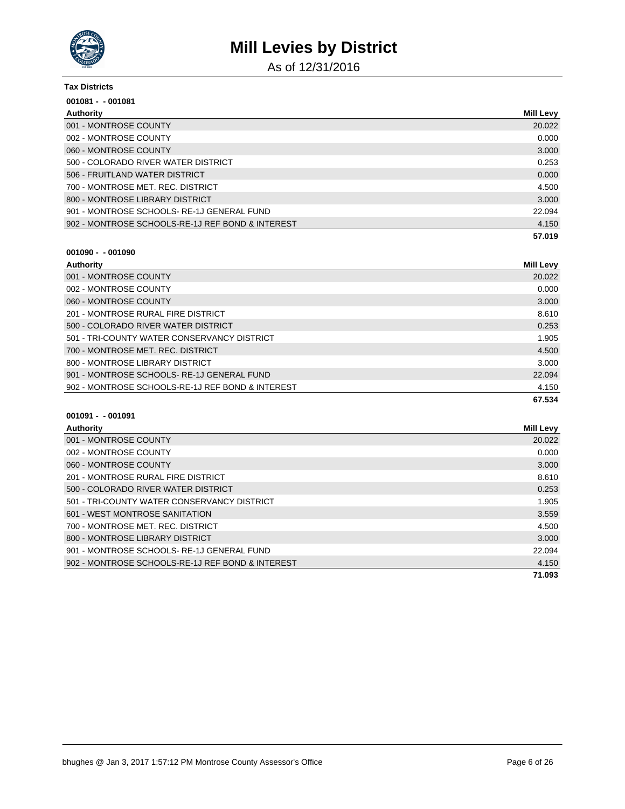

As of 12/31/2016

| <b>Tax Districts</b>                             |                  |
|--------------------------------------------------|------------------|
| $001081 - 001081$                                |                  |
| Authority                                        | <b>Mill Levy</b> |
| 001 - MONTROSE COUNTY                            | 20.022           |
| 002 - MONTROSE COUNTY                            | 0.000            |
| 060 - MONTROSE COUNTY                            | 3.000            |
| 500 - COLORADO RIVER WATER DISTRICT              | 0.253            |
| 506 - FRUITLAND WATER DISTRICT                   | 0.000            |
| 700 - MONTROSE MET. REC. DISTRICT                | 4.500            |
| 800 - MONTROSE LIBRARY DISTRICT                  | 3.000            |
| 901 - MONTROSE SCHOOLS-RE-1J GENERAL FUND        | 22.094           |
| 902 - MONTROSE SCHOOLS-RE-1J REF BOND & INTEREST | 4.150            |
|                                                  | 57.019           |

# **001090 - - 001090**

| Authority                                        | <b>Mill Levy</b> |
|--------------------------------------------------|------------------|
| 001 - MONTROSE COUNTY                            | 20.022           |
| 002 - MONTROSE COUNTY                            | 0.000            |
| 060 - MONTROSE COUNTY                            | 3.000            |
| 201 - MONTROSE RURAL FIRE DISTRICT               | 8.610            |
| 500 - COLORADO RIVER WATER DISTRICT              | 0.253            |
| 501 - TRI-COUNTY WATER CONSERVANCY DISTRICT      | 1.905            |
| 700 - MONTROSE MET, REC. DISTRICT                | 4.500            |
| 800 - MONTROSE LIBRARY DISTRICT                  | 3.000            |
| 901 - MONTROSE SCHOOLS-RE-1J GENERAL FUND        | 22.094           |
| 902 - MONTROSE SCHOOLS-RE-1J REF BOND & INTEREST | 4.150            |
|                                                  | 67.534           |

| Authority                                        | <b>Mill Levy</b> |
|--------------------------------------------------|------------------|
| 001 - MONTROSE COUNTY                            | 20.022           |
| 002 - MONTROSE COUNTY                            | 0.000            |
| 060 - MONTROSE COUNTY                            | 3.000            |
| 201 - MONTROSE RURAL FIRE DISTRICT               | 8.610            |
| 500 - COLORADO RIVER WATER DISTRICT              | 0.253            |
| 501 - TRI-COUNTY WATER CONSERVANCY DISTRICT      | 1.905            |
| 601 - WEST MONTROSE SANITATION                   | 3.559            |
| 700 - MONTROSE MET, REC. DISTRICT                | 4.500            |
| 800 - MONTROSE LIBRARY DISTRICT                  | 3.000            |
| 901 - MONTROSE SCHOOLS-RE-1J GENERAL FUND        | 22.094           |
| 902 - MONTROSE SCHOOLS-RE-1J REF BOND & INTEREST | 4.150            |
|                                                  | 71.093           |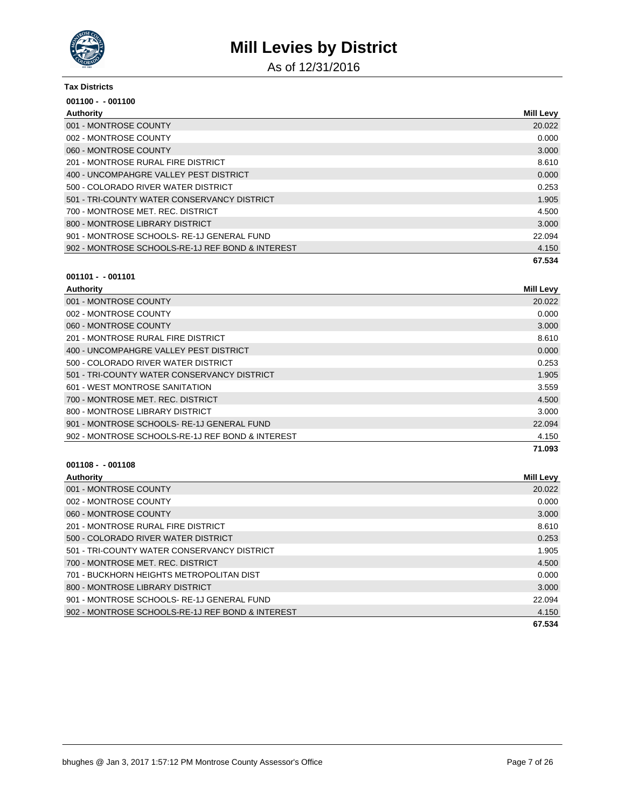

As of 12/31/2016

#### **Tax Districts**

| $001100 - 001100$                                |                  |
|--------------------------------------------------|------------------|
| Authority                                        | <b>Mill Levy</b> |
| 001 - MONTROSE COUNTY                            | 20.022           |
| 002 - MONTROSE COUNTY                            | 0.000            |
| 060 - MONTROSE COUNTY                            | 3.000            |
| 201 - MONTROSE RURAL FIRE DISTRICT               | 8.610            |
| 400 - UNCOMPAHGRE VALLEY PEST DISTRICT           | 0.000            |
| 500 - COLORADO RIVER WATER DISTRICT              | 0.253            |
| 501 - TRI-COUNTY WATER CONSERVANCY DISTRICT      | 1.905            |
| 700 - MONTROSE MET. REC. DISTRICT                | 4.500            |
| 800 - MONTROSE LIBRARY DISTRICT                  | 3.000            |
| 901 - MONTROSE SCHOOLS-RE-1J GENERAL FUND        | 22.094           |
| 902 - MONTROSE SCHOOLS-RE-1J REF BOND & INTEREST | 4.150            |
|                                                  | 67.534           |

### **001101 - - 001101**

| Authority                                        | <b>Mill Levy</b> |
|--------------------------------------------------|------------------|
| 001 - MONTROSE COUNTY                            | 20.022           |
| 002 - MONTROSE COUNTY                            | 0.000            |
| 060 - MONTROSE COUNTY                            | 3.000            |
| 201 - MONTROSE RURAL FIRE DISTRICT               | 8.610            |
| 400 - UNCOMPAHGRE VALLEY PEST DISTRICT           | 0.000            |
| 500 - COLORADO RIVER WATER DISTRICT              | 0.253            |
| 501 - TRI-COUNTY WATER CONSERVANCY DISTRICT      | 1.905            |
| 601 - WEST MONTROSE SANITATION                   | 3.559            |
| 700 - MONTROSE MET. REC. DISTRICT                | 4.500            |
| 800 - MONTROSE LIBRARY DISTRICT                  | 3.000            |
| 901 - MONTROSE SCHOOLS-RE-1J GENERAL FUND        | 22.094           |
| 902 - MONTROSE SCHOOLS-RE-1J REF BOND & INTEREST | 4.150            |
|                                                  | 71.093           |

| Authority                                        | <b>Mill Levy</b> |
|--------------------------------------------------|------------------|
| 001 - MONTROSE COUNTY                            | 20.022           |
| 002 - MONTROSE COUNTY                            | 0.000            |
| 060 - MONTROSE COUNTY                            | 3.000            |
| 201 - MONTROSE RURAL FIRE DISTRICT               | 8.610            |
| 500 - COLORADO RIVER WATER DISTRICT              | 0.253            |
| 501 - TRI-COUNTY WATER CONSERVANCY DISTRICT      | 1.905            |
| 700 - MONTROSE MET. REC. DISTRICT                | 4.500            |
| 701 - BUCKHORN HEIGHTS METROPOLITAN DIST         | 0.000            |
| 800 - MONTROSE LIBRARY DISTRICT                  | 3.000            |
| 901 - MONTROSE SCHOOLS-RE-1J GENERAL FUND        | 22.094           |
| 902 - MONTROSE SCHOOLS-RE-1J REF BOND & INTEREST | 4.150            |
|                                                  | 67.534           |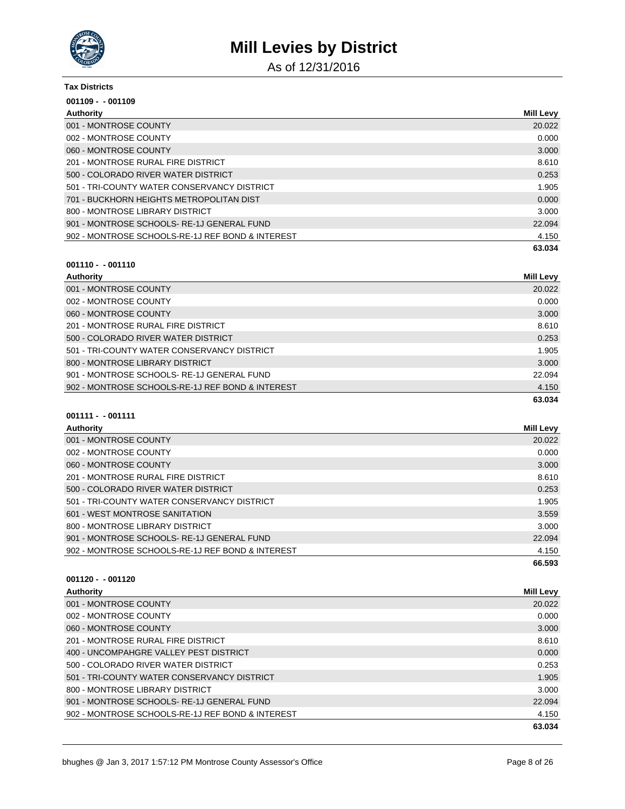

As of 12/31/2016

#### **Tax Districts**

| $001109 - 001109$                                |                  |
|--------------------------------------------------|------------------|
| Authority                                        | <b>Mill Levy</b> |
| 001 - MONTROSE COUNTY                            | 20.022           |
| 002 - MONTROSE COUNTY                            | 0.000            |
| 060 - MONTROSE COUNTY                            | 3.000            |
| 201 - MONTROSE RURAL FIRE DISTRICT               | 8.610            |
| 500 - COLORADO RIVER WATER DISTRICT              | 0.253            |
| 501 - TRI-COUNTY WATER CONSERVANCY DISTRICT      | 1.905            |
| 701 - BUCKHORN HEIGHTS METROPOLITAN DIST         | 0.000            |
| 800 - MONTROSE LIBRARY DISTRICT                  | 3.000            |
| 901 - MONTROSE SCHOOLS-RE-1J GENERAL FUND        | 22.094           |
| 902 - MONTROSE SCHOOLS-RE-1J REF BOND & INTEREST | 4.150            |
|                                                  | 63.034           |

### **001110 - - 001110**

| Authority                                        | Mill Levy |
|--------------------------------------------------|-----------|
| 001 - MONTROSE COUNTY                            | 20.022    |
| 002 - MONTROSE COUNTY                            | 0.000     |
| 060 - MONTROSE COUNTY                            | 3.000     |
| 201 - MONTROSE RURAL FIRE DISTRICT               | 8.610     |
| 500 - COLORADO RIVER WATER DISTRICT              | 0.253     |
| 501 - TRI-COUNTY WATER CONSERVANCY DISTRICT      | 1.905     |
| 800 - MONTROSE LIBRARY DISTRICT                  | 3.000     |
| 901 - MONTROSE SCHOOLS-RE-1J GENERAL FUND        | 22.094    |
| 902 - MONTROSE SCHOOLS-RE-1J REF BOND & INTEREST | 4.150     |
|                                                  | 63.034    |

### **001111 - - 001111**

| Authority                                        | Mill Levy |
|--------------------------------------------------|-----------|
| 001 - MONTROSE COUNTY                            | 20.022    |
| 002 - MONTROSE COUNTY                            | 0.000     |
| 060 - MONTROSE COUNTY                            | 3.000     |
| 201 - MONTROSE RURAL FIRE DISTRICT               | 8.610     |
| 500 - COLORADO RIVER WATER DISTRICT              | 0.253     |
| 501 - TRI-COUNTY WATER CONSERVANCY DISTRICT      | 1.905     |
| 601 - WEST MONTROSE SANITATION                   | 3.559     |
| 800 - MONTROSE LIBRARY DISTRICT                  | 3.000     |
| 901 - MONTROSE SCHOOLS-RE-1J GENERAL FUND        | 22.094    |
| 902 - MONTROSE SCHOOLS-RE-1J REF BOND & INTEREST | 4.150     |
|                                                  | 66.593    |

| Mill Levy |
|-----------|
| 20.022    |
| 0.000     |
| 3.000     |
| 8.610     |
| 0.000     |
| 0.253     |
| 1.905     |
| 3.000     |
| 22.094    |
| 4.150     |
| 63.034    |
|           |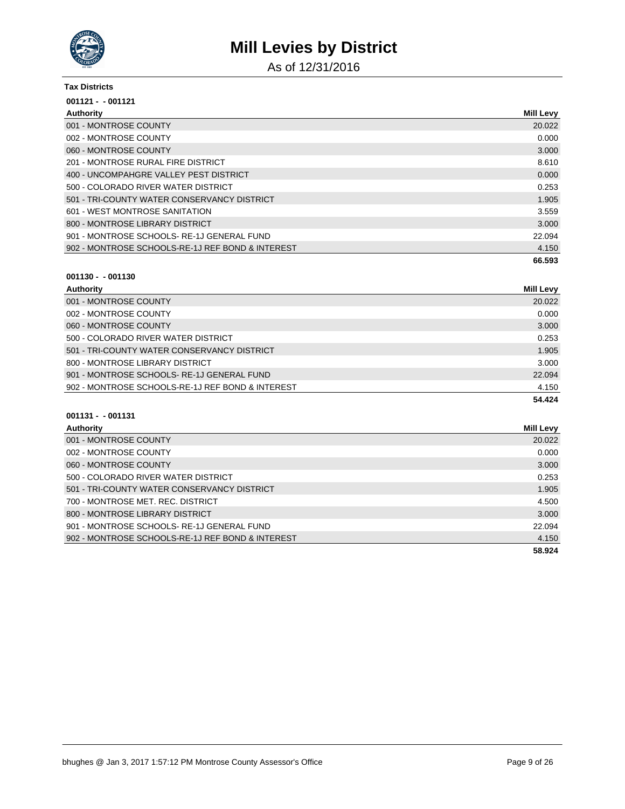

As of 12/31/2016

#### **Tax Districts**

| $001121 - 001121$                                |                  |
|--------------------------------------------------|------------------|
| Authority                                        | <b>Mill Levy</b> |
| 001 - MONTROSE COUNTY                            | 20.022           |
| 002 - MONTROSE COUNTY                            | 0.000            |
| 060 - MONTROSE COUNTY                            | 3.000            |
| 201 - MONTROSE RURAL FIRE DISTRICT               | 8.610            |
| 400 - UNCOMPAHGRE VALLEY PEST DISTRICT           | 0.000            |
| 500 - COLORADO RIVER WATER DISTRICT              | 0.253            |
| 501 - TRI-COUNTY WATER CONSERVANCY DISTRICT      | 1.905            |
| 601 - WEST MONTROSE SANITATION                   | 3.559            |
| 800 - MONTROSE LIBRARY DISTRICT                  | 3.000            |
| 901 - MONTROSE SCHOOLS-RE-1J GENERAL FUND        | 22.094           |
| 902 - MONTROSE SCHOOLS-RE-1J REF BOND & INTEREST | 4.150            |
|                                                  | 66.593           |

### **001130 - - 001130**

| Authority                                        | <b>Mill Levy</b> |
|--------------------------------------------------|------------------|
| 001 - MONTROSE COUNTY                            | 20.022           |
| 002 - MONTROSE COUNTY                            | 0.000            |
| 060 - MONTROSE COUNTY                            | 3.000            |
| 500 - COLORADO RIVER WATER DISTRICT              | 0.253            |
| 501 - TRI-COUNTY WATER CONSERVANCY DISTRICT      | 1.905            |
| 800 - MONTROSE LIBRARY DISTRICT                  | 3.000            |
| 901 - MONTROSE SCHOOLS-RE-1J GENERAL FUND        | 22.094           |
| 902 - MONTROSE SCHOOLS-RE-1J REF BOND & INTEREST | 4.150            |
|                                                  | 54.424           |

| Authority                                        | <b>Mill Levy</b> |
|--------------------------------------------------|------------------|
| 001 - MONTROSE COUNTY                            | 20.022           |
| 002 - MONTROSE COUNTY                            | 0.000            |
| 060 - MONTROSE COUNTY                            | 3.000            |
| 500 - COLORADO RIVER WATER DISTRICT              | 0.253            |
| 501 - TRI-COUNTY WATER CONSERVANCY DISTRICT      | 1.905            |
| 700 - MONTROSE MET. REC. DISTRICT                | 4.500            |
| 800 - MONTROSE LIBRARY DISTRICT                  | 3.000            |
| 901 - MONTROSE SCHOOLS-RE-1J GENERAL FUND        | 22.094           |
| 902 - MONTROSE SCHOOLS-RE-1J REF BOND & INTEREST | 4.150            |
|                                                  | 58.924           |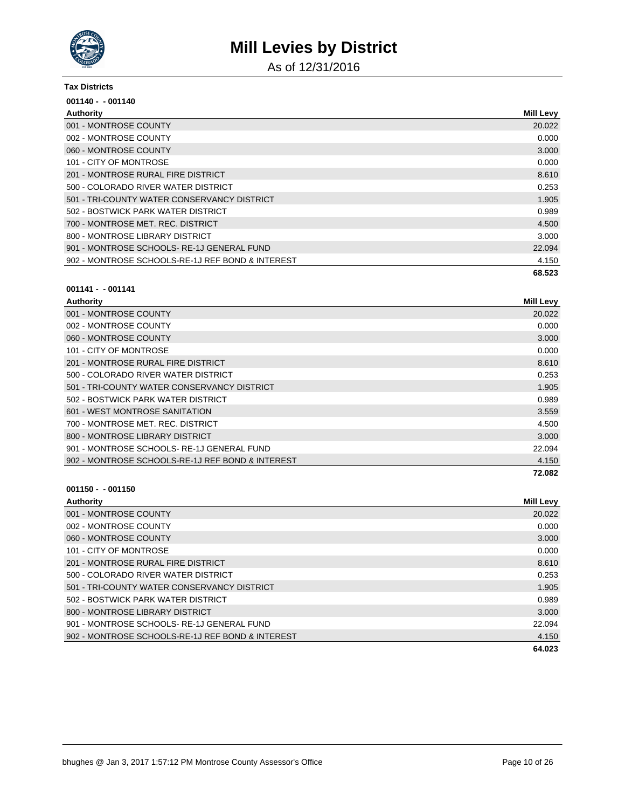

As of 12/31/2016

#### **Tax Districts**

| $001140 - 001140$                                |                  |
|--------------------------------------------------|------------------|
| <b>Authority</b>                                 | <b>Mill Levy</b> |
| 001 - MONTROSE COUNTY                            | 20.022           |
| 002 - MONTROSE COUNTY                            | 0.000            |
| 060 - MONTROSE COUNTY                            | 3.000            |
| 101 - CITY OF MONTROSE                           | 0.000            |
| 201 - MONTROSE RURAL FIRE DISTRICT               | 8.610            |
| 500 - COLORADO RIVER WATER DISTRICT              | 0.253            |
| 501 - TRI-COUNTY WATER CONSERVANCY DISTRICT      | 1.905            |
| 502 - BOSTWICK PARK WATER DISTRICT               | 0.989            |
| 700 - MONTROSE MET. REC. DISTRICT                | 4.500            |
| 800 - MONTROSE LIBRARY DISTRICT                  | 3.000            |
| 901 - MONTROSE SCHOOLS-RE-1J GENERAL FUND        | 22.094           |
| 902 - MONTROSE SCHOOLS-RE-1J REF BOND & INTEREST | 4.150            |
|                                                  | 68.523           |

#### **001141 - - 001141**

| Authority                                        | <b>Mill Levy</b> |
|--------------------------------------------------|------------------|
| 001 - MONTROSE COUNTY                            | 20.022           |
| 002 - MONTROSE COUNTY                            | 0.000            |
| 060 - MONTROSE COUNTY                            | 3.000            |
| 101 - CITY OF MONTROSE                           | 0.000            |
| 201 - MONTROSE RURAL FIRE DISTRICT               | 8.610            |
| 500 - COLORADO RIVER WATER DISTRICT              | 0.253            |
| 501 - TRI-COUNTY WATER CONSERVANCY DISTRICT      | 1.905            |
| 502 - BOSTWICK PARK WATER DISTRICT               | 0.989            |
| 601 - WEST MONTROSE SANITATION                   | 3.559            |
| 700 - MONTROSE MET. REC. DISTRICT                | 4.500            |
| 800 - MONTROSE LIBRARY DISTRICT                  | 3.000            |
| 901 - MONTROSE SCHOOLS-RE-1J GENERAL FUND        | 22.094           |
| 902 - MONTROSE SCHOOLS-RE-1J REF BOND & INTEREST | 4.150            |
|                                                  | 72.082           |

| Authority                                        | <b>Mill Levy</b> |
|--------------------------------------------------|------------------|
| 001 - MONTROSE COUNTY                            | 20.022           |
| 002 - MONTROSE COUNTY                            | 0.000            |
| 060 - MONTROSE COUNTY                            | 3.000            |
| 101 - CITY OF MONTROSE                           | 0.000            |
| 201 - MONTROSE RURAL FIRE DISTRICT               | 8.610            |
| 500 - COLORADO RIVER WATER DISTRICT              | 0.253            |
| 501 - TRI-COUNTY WATER CONSERVANCY DISTRICT      | 1.905            |
| 502 - BOSTWICK PARK WATER DISTRICT               | 0.989            |
| 800 - MONTROSE LIBRARY DISTRICT                  | 3.000            |
| 901 - MONTROSE SCHOOLS-RE-1J GENERAL FUND        | 22.094           |
| 902 - MONTROSE SCHOOLS-RE-1J REF BOND & INTEREST | 4.150            |
|                                                  | 64.023           |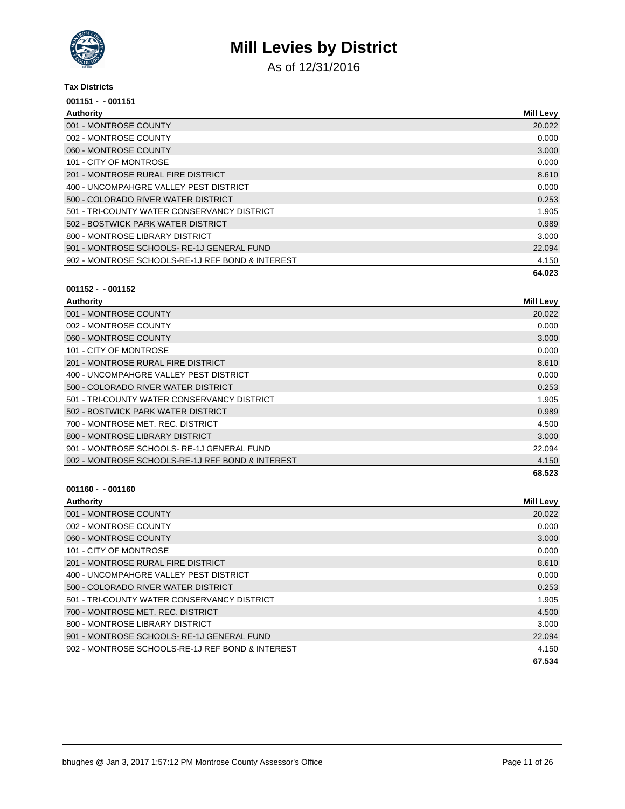

As of 12/31/2016

#### **Tax Districts**

| $001151 - 001151$                                |                  |
|--------------------------------------------------|------------------|
| Authority                                        | <b>Mill Levy</b> |
| 001 - MONTROSE COUNTY                            | 20.022           |
| 002 - MONTROSE COUNTY                            | 0.000            |
| 060 - MONTROSE COUNTY                            | 3.000            |
| 101 - CITY OF MONTROSE                           | 0.000            |
| 201 - MONTROSE RURAL FIRE DISTRICT               | 8.610            |
| 400 - UNCOMPAHGRE VALLEY PEST DISTRICT           | 0.000            |
| 500 - COLORADO RIVER WATER DISTRICT              | 0.253            |
| 501 - TRI-COUNTY WATER CONSERVANCY DISTRICT      | 1.905            |
| 502 - BOSTWICK PARK WATER DISTRICT               | 0.989            |
| 800 - MONTROSE LIBRARY DISTRICT                  | 3.000            |
| 901 - MONTROSE SCHOOLS-RE-1J GENERAL FUND        | 22.094           |
| 902 - MONTROSE SCHOOLS-RE-1J REF BOND & INTEREST | 4.150            |
|                                                  | 64.023           |

#### **001152 - - 001152**

| <b>Mill Levy</b> |
|------------------|
| 20.022           |
| 0.000            |
| 3.000            |
| 0.000            |
| 8.610            |
| 0.000            |
| 0.253            |
| 1.905            |
| 0.989            |
| 4.500            |
| 3.000            |
| 22.094           |
| 4.150            |
| 68.523           |
|                  |

| <b>Mill Levy</b> |
|------------------|
| 20.022           |
| 0.000            |
| 3.000            |
| 0.000            |
| 8.610            |
| 0.000            |
| 0.253            |
| 1.905            |
| 4.500            |
| 3.000            |
| 22.094           |
| 4.150            |
| 67.534           |
|                  |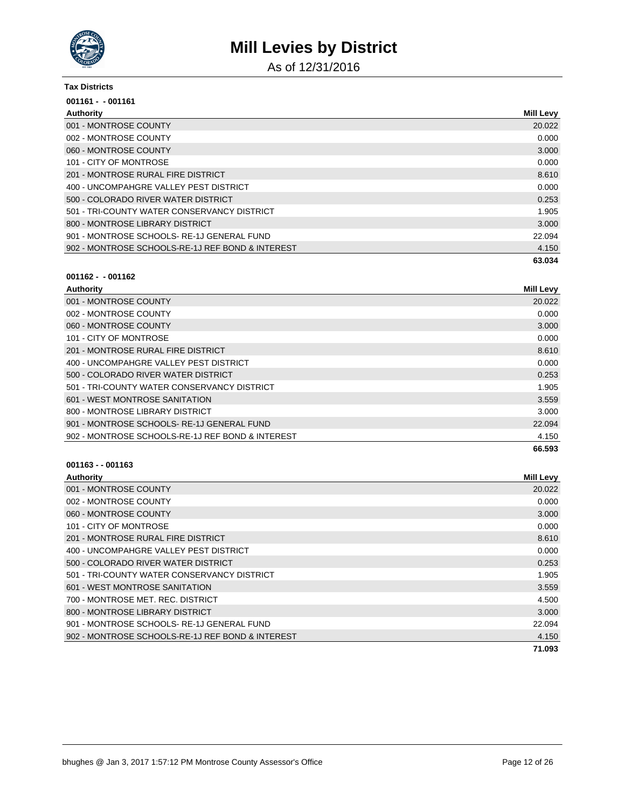

As of 12/31/2016

#### **Tax Districts**

| $001161 - 001161$                                |                  |
|--------------------------------------------------|------------------|
| Authority                                        | <b>Mill Levy</b> |
| 001 - MONTROSE COUNTY                            | 20.022           |
| 002 - MONTROSE COUNTY                            | 0.000            |
| 060 - MONTROSE COUNTY                            | 3.000            |
| 101 - CITY OF MONTROSE                           | 0.000            |
| 201 - MONTROSE RURAL FIRE DISTRICT               | 8.610            |
| 400 - UNCOMPAHGRE VALLEY PEST DISTRICT           | 0.000            |
| 500 - COLORADO RIVER WATER DISTRICT              | 0.253            |
| 501 - TRI-COUNTY WATER CONSERVANCY DISTRICT      | 1.905            |
| 800 - MONTROSE LIBRARY DISTRICT                  | 3.000            |
| 901 - MONTROSE SCHOOLS-RE-1J GENERAL FUND        | 22.094           |
| 902 - MONTROSE SCHOOLS-RE-1J REF BOND & INTEREST | 4.150            |
|                                                  | 63.034           |

### **001162 - - 001162**

| Authority                                        | <b>Mill Levy</b> |
|--------------------------------------------------|------------------|
| 001 - MONTROSE COUNTY                            | 20.022           |
| 002 - MONTROSE COUNTY                            | 0.000            |
| 060 - MONTROSE COUNTY                            | 3.000            |
| 101 - CITY OF MONTROSE                           | 0.000            |
| 201 - MONTROSE RURAL FIRE DISTRICT               | 8.610            |
| 400 - UNCOMPAHGRE VALLEY PEST DISTRICT           | 0.000            |
| 500 - COLORADO RIVER WATER DISTRICT              | 0.253            |
| 501 - TRI-COUNTY WATER CONSERVANCY DISTRICT      | 1.905            |
| 601 - WEST MONTROSE SANITATION                   | 3.559            |
| 800 - MONTROSE LIBRARY DISTRICT                  | 3.000            |
| 901 - MONTROSE SCHOOLS-RE-1J GENERAL FUND        | 22.094           |
| 902 - MONTROSE SCHOOLS-RE-1J REF BOND & INTEREST | 4.150            |
|                                                  | 66.593           |

| Authority                                        | <b>Mill Levy</b> |
|--------------------------------------------------|------------------|
| 001 - MONTROSE COUNTY                            | 20.022           |
| 002 - MONTROSE COUNTY                            | 0.000            |
| 060 - MONTROSE COUNTY                            | 3.000            |
| 101 - CITY OF MONTROSE                           | 0.000            |
| 201 - MONTROSE RURAL FIRE DISTRICT               | 8.610            |
| 400 - UNCOMPAHGRE VALLEY PEST DISTRICT           | 0.000            |
| 500 - COLORADO RIVER WATER DISTRICT              | 0.253            |
| 501 - TRI-COUNTY WATER CONSERVANCY DISTRICT      | 1.905            |
| 601 - WEST MONTROSE SANITATION                   | 3.559            |
| 700 - MONTROSE MET. REC. DISTRICT                | 4.500            |
| 800 - MONTROSE LIBRARY DISTRICT                  | 3.000            |
| 901 - MONTROSE SCHOOLS-RE-1J GENERAL FUND        | 22.094           |
| 902 - MONTROSE SCHOOLS-RE-1J REF BOND & INTEREST | 4.150            |
|                                                  | 71.093           |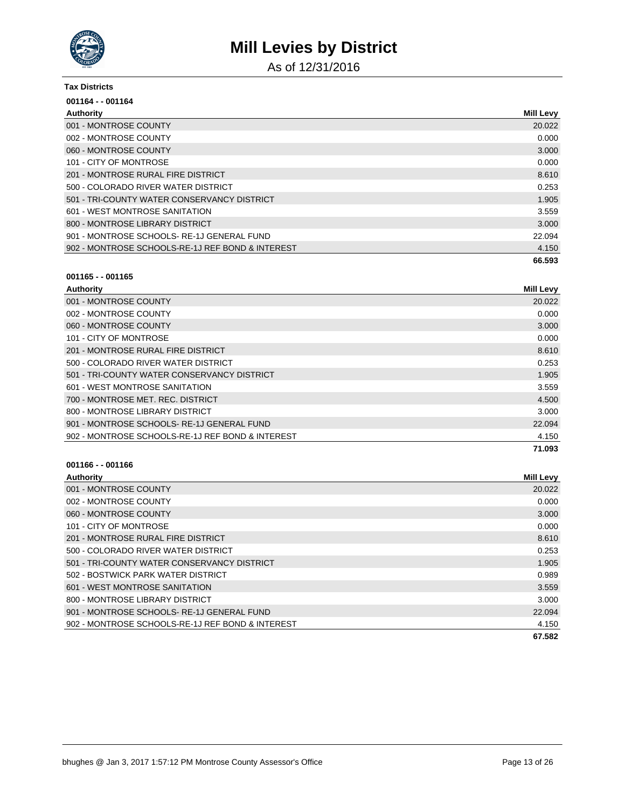

As of 12/31/2016

#### **Tax Districts**

| 001164 - - 001164                                |                  |
|--------------------------------------------------|------------------|
| Authority                                        | <b>Mill Levy</b> |
| 001 - MONTROSE COUNTY                            | 20.022           |
| 002 - MONTROSE COUNTY                            | 0.000            |
| 060 - MONTROSE COUNTY                            | 3.000            |
| 101 - CITY OF MONTROSE                           | 0.000            |
| 201 - MONTROSE RURAL FIRE DISTRICT               | 8.610            |
| 500 - COLORADO RIVER WATER DISTRICT              | 0.253            |
| 501 - TRI-COUNTY WATER CONSERVANCY DISTRICT      | 1.905            |
| 601 - WEST MONTROSE SANITATION                   | 3.559            |
| 800 - MONTROSE LIBRARY DISTRICT                  | 3.000            |
| 901 - MONTROSE SCHOOLS-RE-1J GENERAL FUND        | 22.094           |
| 902 - MONTROSE SCHOOLS-RE-1J REF BOND & INTEREST | 4.150            |
|                                                  | 66.593           |

### **001165 - - 001165**

| Authority                                        | <b>Mill Levy</b> |
|--------------------------------------------------|------------------|
| 001 - MONTROSE COUNTY                            | 20.022           |
| 002 - MONTROSE COUNTY                            | 0.000            |
| 060 - MONTROSE COUNTY                            | 3.000            |
| 101 - CITY OF MONTROSE                           | 0.000            |
| 201 - MONTROSE RURAL FIRE DISTRICT               | 8.610            |
| 500 - COLORADO RIVER WATER DISTRICT              | 0.253            |
| 501 - TRI-COUNTY WATER CONSERVANCY DISTRICT      | 1.905            |
| 601 - WEST MONTROSE SANITATION                   | 3.559            |
| 700 - MONTROSE MET. REC. DISTRICT                | 4.500            |
| 800 - MONTROSE LIBRARY DISTRICT                  | 3.000            |
| 901 - MONTROSE SCHOOLS-RE-1J GENERAL FUND        | 22.094           |
| 902 - MONTROSE SCHOOLS-RE-1J REF BOND & INTEREST | 4.150            |
|                                                  | 71.093           |

| Authority                                        | <b>Mill Levy</b> |
|--------------------------------------------------|------------------|
| 001 - MONTROSE COUNTY                            | 20.022           |
| 002 - MONTROSE COUNTY                            | 0.000            |
| 060 - MONTROSE COUNTY                            | 3.000            |
| 101 - CITY OF MONTROSE                           | 0.000            |
| 201 - MONTROSE RURAL FIRE DISTRICT               | 8.610            |
| 500 - COLORADO RIVER WATER DISTRICT              | 0.253            |
| 501 - TRI-COUNTY WATER CONSERVANCY DISTRICT      | 1.905            |
| 502 - BOSTWICK PARK WATER DISTRICT               | 0.989            |
| 601 - WEST MONTROSE SANITATION                   | 3.559            |
| 800 - MONTROSE LIBRARY DISTRICT                  | 3.000            |
| 901 - MONTROSE SCHOOLS-RE-1J GENERAL FUND        | 22.094           |
| 902 - MONTROSE SCHOOLS-RE-1J REF BOND & INTEREST | 4.150            |
|                                                  | 67.582           |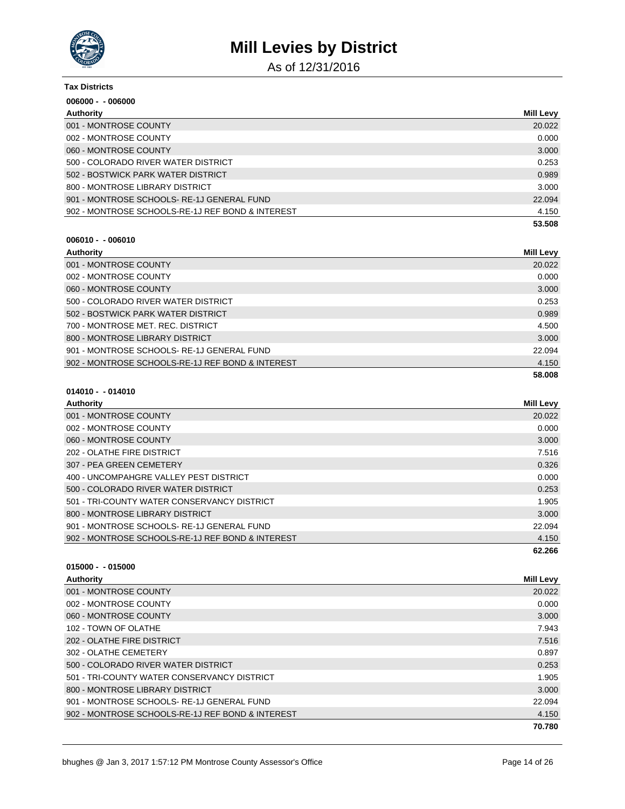

As of 12/31/2016

| <b>Tax Districts</b>                             |                  |
|--------------------------------------------------|------------------|
| $006000 - 006000$                                |                  |
| Authority                                        | <b>Mill Levy</b> |
| 001 - MONTROSE COUNTY                            | 20.022           |
| 002 - MONTROSE COUNTY                            | 0.000            |
| 060 - MONTROSE COUNTY                            | 3.000            |
| 500 - COLORADO RIVER WATER DISTRICT              | 0.253            |
| 502 - BOSTWICK PARK WATER DISTRICT               | 0.989            |
| 800 - MONTROSE LIBRARY DISTRICT                  | 3.000            |
| 901 - MONTROSE SCHOOLS-RE-1J GENERAL FUND        | 22.094           |
| 902 - MONTROSE SCHOOLS-RE-1J REF BOND & INTEREST | 4.150            |
|                                                  | 53.508           |

#### **006010 - - 006010**

| Authority                                        | <b>Mill Levy</b> |
|--------------------------------------------------|------------------|
| 001 - MONTROSE COUNTY                            | 20.022           |
| 002 - MONTROSE COUNTY                            | 0.000            |
| 060 - MONTROSE COUNTY                            | 3.000            |
| 500 - COLORADO RIVER WATER DISTRICT              | 0.253            |
| 502 - BOSTWICK PARK WATER DISTRICT               | 0.989            |
| 700 - MONTROSE MET. REC. DISTRICT                | 4.500            |
| 800 - MONTROSE LIBRARY DISTRICT                  | 3.000            |
| 901 - MONTROSE SCHOOLS-RE-1J GENERAL FUND        | 22.094           |
| 902 - MONTROSE SCHOOLS-RE-1J REF BOND & INTEREST | 4.150            |
|                                                  | 58.008           |

### **014010 - - 014010**

| Authority                                        | <b>Mill Levy</b> |
|--------------------------------------------------|------------------|
| 001 - MONTROSE COUNTY                            | 20.022           |
| 002 - MONTROSE COUNTY                            | 0.000            |
| 060 - MONTROSE COUNTY                            | 3.000            |
| 202 - OLATHE FIRE DISTRICT                       | 7.516            |
| 307 - PEA GREEN CEMETERY                         | 0.326            |
| 400 - UNCOMPAHGRE VALLEY PEST DISTRICT           | 0.000            |
| 500 - COLORADO RIVER WATER DISTRICT              | 0.253            |
| 501 - TRI-COUNTY WATER CONSERVANCY DISTRICT      | 1.905            |
| 800 - MONTROSE LIBRARY DISTRICT                  | 3.000            |
| 901 - MONTROSE SCHOOLS-RE-1J GENERAL FUND        | 22.094           |
| 902 - MONTROSE SCHOOLS-RE-1J REF BOND & INTEREST | 4.150            |
|                                                  | 62.266           |

| Authority                                        | <b>Mill Levy</b> |
|--------------------------------------------------|------------------|
| 001 - MONTROSE COUNTY                            | 20.022           |
| 002 - MONTROSE COUNTY                            | 0.000            |
| 060 - MONTROSE COUNTY                            | 3.000            |
| 102 - TOWN OF OLATHE                             | 7.943            |
| 202 - OLATHE FIRE DISTRICT                       | 7.516            |
| 302 - OLATHE CEMETERY                            | 0.897            |
| 500 - COLORADO RIVER WATER DISTRICT              | 0.253            |
| 501 - TRI-COUNTY WATER CONSERVANCY DISTRICT      | 1.905            |
| 800 - MONTROSE LIBRARY DISTRICT                  | 3.000            |
| 901 - MONTROSE SCHOOLS-RE-1J GENERAL FUND        | 22.094           |
| 902 - MONTROSE SCHOOLS-RE-1J REF BOND & INTEREST | 4.150            |
|                                                  | 70.780           |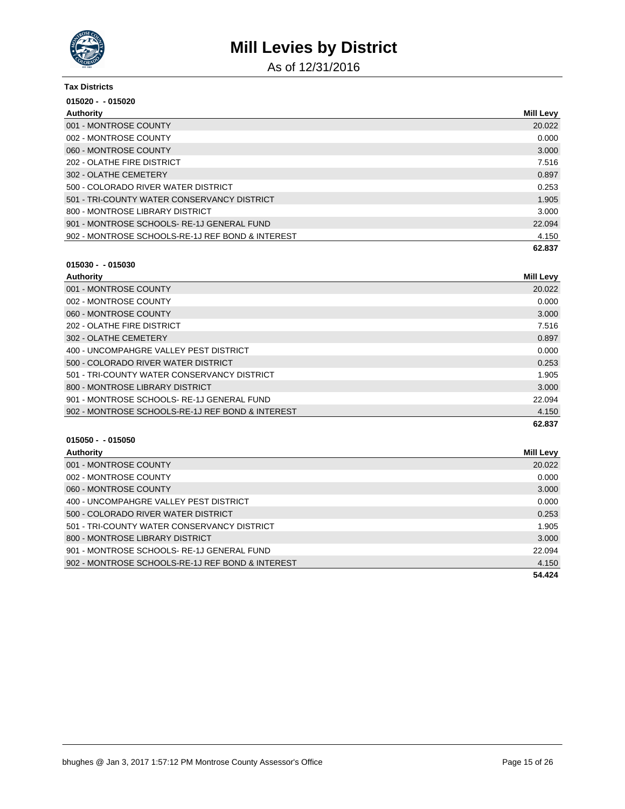

As of 12/31/2016

| Tax Districts                                    |                  |
|--------------------------------------------------|------------------|
| $015020 - 015020$                                |                  |
| Authority                                        | <b>Mill Levy</b> |
| 001 - MONTROSE COUNTY                            | 20.022           |
| 002 - MONTROSE COUNTY                            | 0.000            |
| 060 - MONTROSE COUNTY                            | 3.000            |
| 202 - OLATHE FIRE DISTRICT                       | 7.516            |
| 302 - OLATHE CEMETERY                            | 0.897            |
| 500 - COLORADO RIVER WATER DISTRICT              | 0.253            |
| 501 - TRI-COUNTY WATER CONSERVANCY DISTRICT      | 1.905            |
| 800 - MONTROSE LIBRARY DISTRICT                  | 3.000            |
| 901 - MONTROSE SCHOOLS-RE-1J GENERAL FUND        | 22.094           |
| 902 - MONTROSE SCHOOLS-RE-1J REF BOND & INTEREST | 4.150            |
|                                                  | 62.837           |

### **015030 - - 015030**

| Authority                                        | Mill Levy |
|--------------------------------------------------|-----------|
| 001 - MONTROSE COUNTY                            | 20.022    |
| 002 - MONTROSE COUNTY                            | 0.000     |
| 060 - MONTROSE COUNTY                            | 3.000     |
| 202 - OLATHE FIRE DISTRICT                       | 7.516     |
| 302 - OLATHE CEMETERY                            | 0.897     |
| 400 - UNCOMPAHGRE VALLEY PEST DISTRICT           | 0.000     |
| 500 - COLORADO RIVER WATER DISTRICT              | 0.253     |
| 501 - TRI-COUNTY WATER CONSERVANCY DISTRICT      | 1.905     |
| 800 - MONTROSE LIBRARY DISTRICT                  | 3.000     |
| 901 - MONTROSE SCHOOLS-RE-1J GENERAL FUND        | 22.094    |
| 902 - MONTROSE SCHOOLS-RE-1J REF BOND & INTEREST | 4.150     |
|                                                  | 62.837    |

| Authority                                        | Mill Levy |
|--------------------------------------------------|-----------|
| 001 - MONTROSE COUNTY                            | 20.022    |
| 002 - MONTROSE COUNTY                            | 0.000     |
| 060 - MONTROSE COUNTY                            | 3.000     |
| 400 - UNCOMPAHGRE VALLEY PEST DISTRICT           | 0.000     |
| 500 - COLORADO RIVER WATER DISTRICT              | 0.253     |
| 501 - TRI-COUNTY WATER CONSERVANCY DISTRICT      | 1.905     |
| 800 - MONTROSE LIBRARY DISTRICT                  | 3.000     |
| 901 - MONTROSE SCHOOLS-RE-1J GENERAL FUND        | 22.094    |
| 902 - MONTROSE SCHOOLS-RE-1J REF BOND & INTEREST | 4.150     |
|                                                  | 54.424    |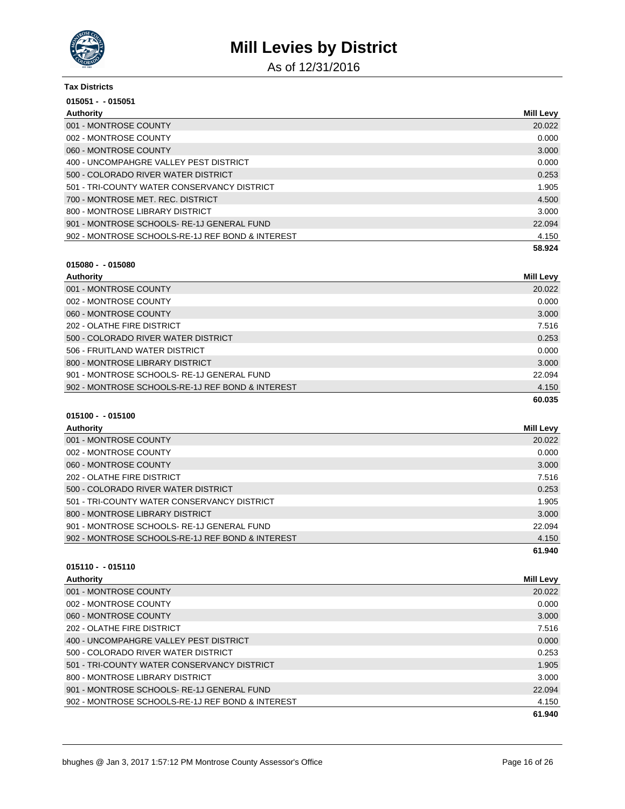

As of 12/31/2016

| <b>Tax Districts</b>                             |                  |
|--------------------------------------------------|------------------|
| $015051 - 015051$                                |                  |
| Authority                                        | <b>Mill Levy</b> |
| 001 - MONTROSE COUNTY                            | 20.022           |
| 002 - MONTROSE COUNTY                            | 0.000            |
| 060 - MONTROSE COUNTY                            | 3.000            |
| 400 - UNCOMPAHGRE VALLEY PEST DISTRICT           | 0.000            |
| 500 - COLORADO RIVER WATER DISTRICT              | 0.253            |
| 501 - TRI-COUNTY WATER CONSERVANCY DISTRICT      | 1.905            |
| 700 - MONTROSE MET. REC. DISTRICT                | 4.500            |
| 800 - MONTROSE LIBRARY DISTRICT                  | 3.000            |
| 901 - MONTROSE SCHOOLS-RE-1J GENERAL FUND        | 22.094           |
| 902 - MONTROSE SCHOOLS-RE-1J REF BOND & INTEREST | 4.150            |
|                                                  | 58.924           |

### **015080 - - 015080**

| Authority                                        | Mill Levy |
|--------------------------------------------------|-----------|
| 001 - MONTROSE COUNTY                            | 20.022    |
| 002 - MONTROSE COUNTY                            | 0.000     |
| 060 - MONTROSE COUNTY                            | 3.000     |
| 202 - OLATHE FIRE DISTRICT                       | 7.516     |
| 500 - COLORADO RIVER WATER DISTRICT              | 0.253     |
| 506 - FRUITLAND WATER DISTRICT                   | 0.000     |
| 800 - MONTROSE LIBRARY DISTRICT                  | 3.000     |
| 901 - MONTROSE SCHOOLS-RE-1J GENERAL FUND        | 22.094    |
| 902 - MONTROSE SCHOOLS-RE-1J REF BOND & INTEREST | 4.150     |
|                                                  | 60.035    |

### **015100 - - 015100**

| Authority                                        | Mill Levy |
|--------------------------------------------------|-----------|
| 001 - MONTROSE COUNTY                            | 20.022    |
| 002 - MONTROSE COUNTY                            | 0.000     |
| 060 - MONTROSE COUNTY                            | 3.000     |
| 202 - OLATHE FIRE DISTRICT                       | 7.516     |
| 500 - COLORADO RIVER WATER DISTRICT              | 0.253     |
| 501 - TRI-COUNTY WATER CONSERVANCY DISTRICT      | 1.905     |
| 800 - MONTROSE LIBRARY DISTRICT                  | 3.000     |
| 901 - MONTROSE SCHOOLS-RE-1J GENERAL FUND        | 22.094    |
| 902 - MONTROSE SCHOOLS-RE-1J REF BOND & INTEREST | 4.150     |
|                                                  | 61.940    |

| Authority                                        | <b>Mill Levy</b> |
|--------------------------------------------------|------------------|
| 001 - MONTROSE COUNTY                            | 20.022           |
| 002 - MONTROSE COUNTY                            | 0.000            |
| 060 - MONTROSE COUNTY                            | 3.000            |
| 202 - OLATHE FIRE DISTRICT                       | 7.516            |
| 400 - UNCOMPAHGRE VALLEY PEST DISTRICT           | 0.000            |
| 500 - COLORADO RIVER WATER DISTRICT              | 0.253            |
| 501 - TRI-COUNTY WATER CONSERVANCY DISTRICT      | 1.905            |
| 800 - MONTROSE LIBRARY DISTRICT                  | 3.000            |
| 901 - MONTROSE SCHOOLS-RE-1J GENERAL FUND        | 22.094           |
| 902 - MONTROSE SCHOOLS-RE-1J REF BOND & INTEREST | 4.150            |
|                                                  | 61.940           |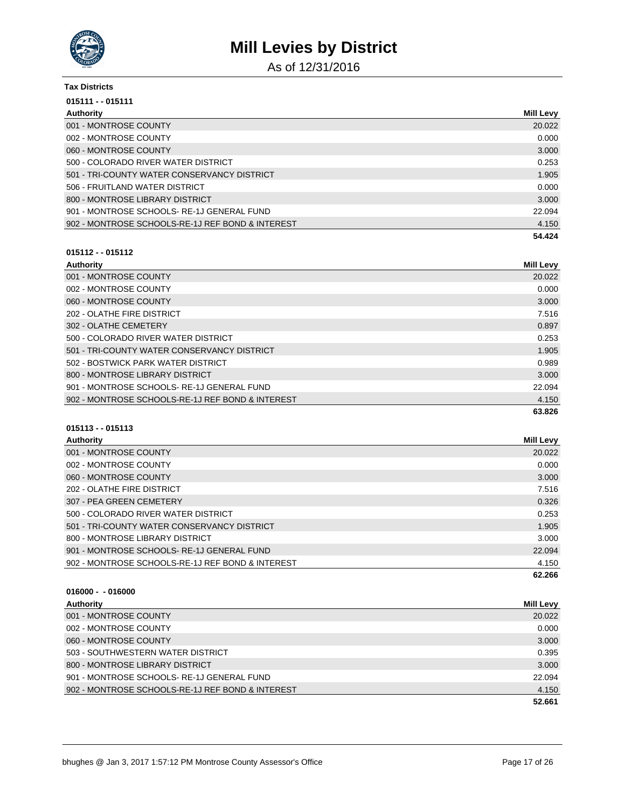

As of 12/31/2016

| <b>Tax Districts</b>                             |                  |
|--------------------------------------------------|------------------|
| 015111 - - 015111                                |                  |
| Authority                                        | <b>Mill Levy</b> |
| 001 - MONTROSE COUNTY                            | 20.022           |
| 002 - MONTROSE COUNTY                            | 0.000            |
| 060 - MONTROSE COUNTY                            | 3.000            |
| 500 - COLORADO RIVER WATER DISTRICT              | 0.253            |
| 501 - TRI-COUNTY WATER CONSERVANCY DISTRICT      | 1.905            |
| 506 - FRUITLAND WATER DISTRICT                   | 0.000            |
| 800 - MONTROSE LIBRARY DISTRICT                  | 3.000            |
| 901 - MONTROSE SCHOOLS-RE-1J GENERAL FUND        | 22.094           |
| 902 - MONTROSE SCHOOLS-RE-1J REF BOND & INTEREST | 4.150            |
|                                                  | 54.424           |

## **015112 - - 015112**

| Authority                                        | <b>Mill Levy</b> |
|--------------------------------------------------|------------------|
| 001 - MONTROSE COUNTY                            | 20.022           |
| 002 - MONTROSE COUNTY                            | 0.000            |
| 060 - MONTROSE COUNTY                            | 3.000            |
| 202 - OLATHE FIRE DISTRICT                       | 7.516            |
| 302 - OLATHE CEMETERY                            | 0.897            |
| 500 - COLORADO RIVER WATER DISTRICT              | 0.253            |
| 501 - TRI-COUNTY WATER CONSERVANCY DISTRICT      | 1.905            |
| 502 - BOSTWICK PARK WATER DISTRICT               | 0.989            |
| 800 - MONTROSE LIBRARY DISTRICT                  | 3.000            |
| 901 - MONTROSE SCHOOLS-RE-1J GENERAL FUND        | 22.094           |
| 902 - MONTROSE SCHOOLS-RE-1J REF BOND & INTEREST | 4.150            |
|                                                  | 63.826           |

### **015113 - - 015113**

| Authority                                        | Mill Levy |
|--------------------------------------------------|-----------|
| 001 - MONTROSE COUNTY                            | 20.022    |
| 002 - MONTROSE COUNTY                            | 0.000     |
| 060 - MONTROSE COUNTY                            | 3.000     |
| 202 - OLATHE FIRE DISTRICT                       | 7.516     |
| 307 - PEA GREEN CEMETERY                         | 0.326     |
| 500 - COLORADO RIVER WATER DISTRICT              | 0.253     |
| 501 - TRI-COUNTY WATER CONSERVANCY DISTRICT      | 1.905     |
| 800 - MONTROSE LIBRARY DISTRICT                  | 3.000     |
| 901 - MONTROSE SCHOOLS-RE-1J GENERAL FUND        | 22.094    |
| 902 - MONTROSE SCHOOLS-RE-1J REF BOND & INTEREST | 4.150     |
|                                                  | 62.266    |

| Authority                                        | <b>Mill Levy</b> |
|--------------------------------------------------|------------------|
| 001 - MONTROSE COUNTY                            | 20.022           |
| 002 - MONTROSE COUNTY                            | 0.000            |
| 060 - MONTROSE COUNTY                            | 3.000            |
| 503 - SOUTHWESTERN WATER DISTRICT                | 0.395            |
| 800 - MONTROSE LIBRARY DISTRICT                  | 3.000            |
| 901 - MONTROSE SCHOOLS-RE-1J GENERAL FUND        | 22.094           |
| 902 - MONTROSE SCHOOLS-RE-1J REF BOND & INTEREST | 4.150            |
|                                                  | 52.661           |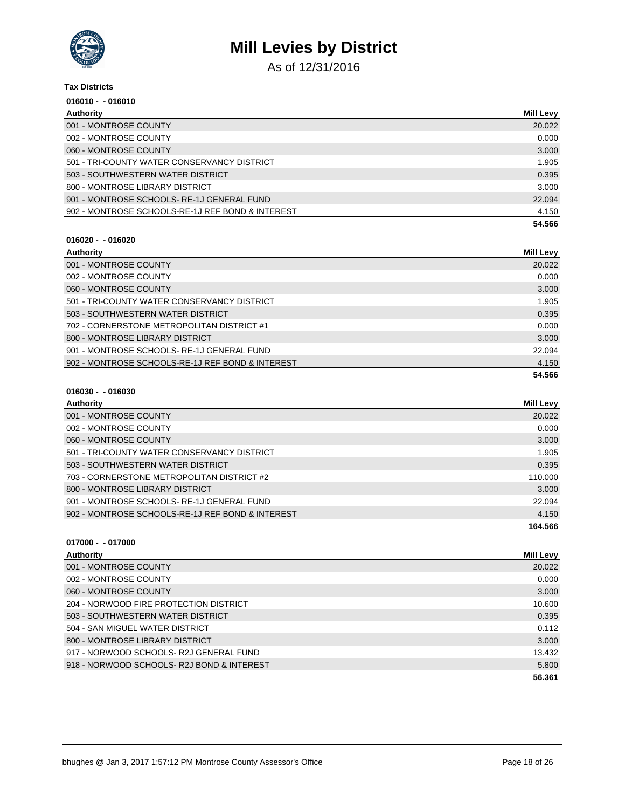

As of 12/31/2016

| Tax Districts                                    |                  |
|--------------------------------------------------|------------------|
| $016010 - 016010$                                |                  |
| Authority                                        | <b>Mill Levy</b> |
| 001 - MONTROSE COUNTY                            | 20.022           |
| 002 - MONTROSE COUNTY                            | 0.000            |
| 060 - MONTROSE COUNTY                            | 3.000            |
| 501 - TRI-COUNTY WATER CONSERVANCY DISTRICT      | 1.905            |
| 503 - SOUTHWESTERN WATER DISTRICT                | 0.395            |
| 800 - MONTROSE LIBRARY DISTRICT                  | 3.000            |
| 901 - MONTROSE SCHOOLS-RE-1J GENERAL FUND        | 22.094           |
| 902 - MONTROSE SCHOOLS-RE-1J REF BOND & INTEREST | 4.150            |
|                                                  | 54.566           |

#### **016020 - - 016020**

| Authority                                        | Mill Levy |
|--------------------------------------------------|-----------|
| 001 - MONTROSE COUNTY                            | 20.022    |
| 002 - MONTROSE COUNTY                            | 0.000     |
| 060 - MONTROSE COUNTY                            | 3.000     |
| 501 - TRI-COUNTY WATER CONSERVANCY DISTRICT      | 1.905     |
| 503 - SOUTHWESTERN WATER DISTRICT                | 0.395     |
| 702 - CORNERSTONE METROPOLITAN DISTRICT #1       | 0.000     |
| 800 - MONTROSE LIBRARY DISTRICT                  | 3.000     |
| 901 - MONTROSE SCHOOLS-RE-1J GENERAL FUND        | 22.094    |
| 902 - MONTROSE SCHOOLS-RE-1J REF BOND & INTEREST | 4.150     |
|                                                  | 54.566    |

### **016030 - - 016030**

| Mill Levy |
|-----------|
| 20.022    |
| 0.000     |
| 3.000     |
| 1.905     |
| 0.395     |
| 110.000   |
| 3.000     |
| 22.094    |
| 4.150     |
| 164.566   |
|           |

| Authority                                 | Mill Levy |
|-------------------------------------------|-----------|
| 001 - MONTROSE COUNTY                     | 20.022    |
| 002 - MONTROSE COUNTY                     | 0.000     |
| 060 - MONTROSE COUNTY                     | 3.000     |
| 204 - NORWOOD FIRE PROTECTION DISTRICT    | 10.600    |
| 503 - SOUTHWESTERN WATER DISTRICT         | 0.395     |
| 504 - SAN MIGUEL WATER DISTRICT           | 0.112     |
| 800 - MONTROSE LIBRARY DISTRICT           | 3.000     |
| 917 - NORWOOD SCHOOLS-R2J GENERAL FUND    | 13.432    |
| 918 - NORWOOD SCHOOLS-R2J BOND & INTEREST | 5.800     |
|                                           | 56.361    |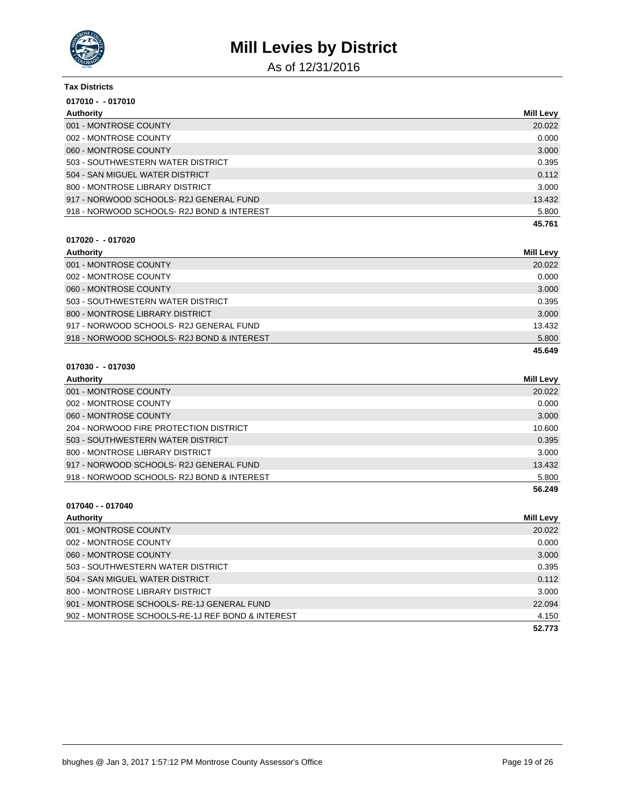

As of 12/31/2016

### **Tax Districts 017010 - - 017010 Authority Mill Levy** 001 - MONTROSE COUNTY 20.022 002 - MONTROSE COUNTY CONTROSE COUNTY CONTROL CONTROL CONTROL CONTROL CONTROL CONTROL CONTROL CONTROL CONTROL CONTROL CONTROL CONTROL CONTROL CONTROL CONTROL CONTROL CONTROL CONTROL CONTROL CONTROL CONTROL CONTROL CONTROL 060 - MONTROSE COUNTY 3.000

|                                           | 45.761 |
|-------------------------------------------|--------|
| 918 - NORWOOD SCHOOLS-R2J BOND & INTEREST | 5.800  |
| 917 - NORWOOD SCHOOLS- R2J GENERAL FUND   | 13.432 |
| 800 - MONTROSE LIBRARY DISTRICT           | 3.000  |
| 504 - SAN MIGUEL WATER DISTRICT           | 0.112  |
| 503 - SOUTHWESTERN WATER DISTRICT         | 0.395  |
|                                           |        |

#### **017020 - - 017020**

| Authority                                 | Mill Levy |
|-------------------------------------------|-----------|
| 001 - MONTROSE COUNTY                     | 20.022    |
| 002 - MONTROSE COUNTY                     | 0.000     |
| 060 - MONTROSE COUNTY                     | 3.000     |
| 503 - SOUTHWESTERN WATER DISTRICT         | 0.395     |
| 800 - MONTROSE LIBRARY DISTRICT           | 3.000     |
| 917 - NORWOOD SCHOOLS- R2J GENERAL FUND   | 13.432    |
| 918 - NORWOOD SCHOOLS-R2J BOND & INTEREST | 5.800     |
|                                           | 45.649    |

#### **017030 - - 017030**

| Authority                                 | <b>Mill Levy</b> |
|-------------------------------------------|------------------|
| 001 - MONTROSE COUNTY                     | 20.022           |
| 002 - MONTROSE COUNTY                     | 0.000            |
| 060 - MONTROSE COUNTY                     | 3.000            |
| 204 - NORWOOD FIRE PROTECTION DISTRICT    | 10.600           |
| 503 - SOUTHWESTERN WATER DISTRICT         | 0.395            |
| 800 - MONTROSE LIBRARY DISTRICT           | 3.000            |
| 917 - NORWOOD SCHOOLS-R2J GENERAL FUND    | 13.432           |
| 918 - NORWOOD SCHOOLS-R2J BOND & INTEREST | 5.800            |
|                                           | 56.249           |

### **017040 - - 017040 Authority Mill Levy** 001 - MONTROSE COUNTY 20.022 002 - MONTROSE COUNTY CONTROL COUNTY CONTROL CONTROL CONTROL CONTROL CONTROL CONTROL CONTROL CONTROL CONTROL CONTROL CONTROL CONTROL CONTROL CONTROL CONTROL CONTROL CONTROL CONTROL CONTROL CONTROL CONTROL CONTROL CONTROL C 060 - MONTROSE COUNTY 3.000 503 - SOUTHWESTERN WATER DISTRICT 0.395 504 - SAN MIGUEL WATER DISTRICT 0.112 800 - MONTROSE LIBRARY DISTRICT 3.000 901 - MONTROSE SCHOOLS- RE-1J GENERAL FUND 22.094 902 - MONTROSE SCHOOLS-RE-1J REF BOND & INTEREST 4.150

**52.773**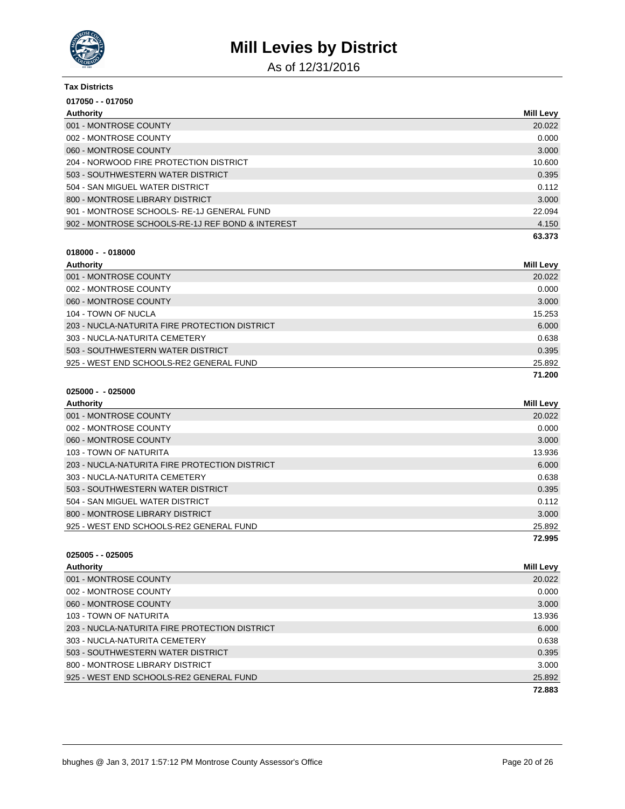

As of 12/31/2016

| <b>Tax Districts</b>                             |                  |
|--------------------------------------------------|------------------|
| 017050 - - 017050                                |                  |
| Authority                                        | <b>Mill Levy</b> |
| 001 - MONTROSE COUNTY                            | 20.022           |
| 002 - MONTROSE COUNTY                            | 0.000            |
| 060 - MONTROSE COUNTY                            | 3.000            |
| 204 - NORWOOD FIRE PROTECTION DISTRICT           | 10.600           |
| 503 - SOUTHWESTERN WATER DISTRICT                | 0.395            |
| 504 - SAN MIGUEL WATER DISTRICT                  | 0.112            |
| 800 - MONTROSE LIBRARY DISTRICT                  | 3.000            |
| 901 - MONTROSE SCHOOLS-RE-1J GENERAL FUND        | 22.094           |
| 902 - MONTROSE SCHOOLS-RE-1J REF BOND & INTEREST | 4.150            |
|                                                  | 63.373           |

| -018000<br>$018000 -$ |
|-----------------------|
|-----------------------|

| Authority                                     | <b>Mill Levy</b> |
|-----------------------------------------------|------------------|
| 001 - MONTROSE COUNTY                         | 20.022           |
| 002 - MONTROSE COUNTY                         | 0.000            |
| 060 - MONTROSE COUNTY                         | 3.000            |
| 104 - TOWN OF NUCLA                           | 15.253           |
| 203 - NUCLA-NATURITA FIRE PROTECTION DISTRICT | 6.000            |
| 303 - NUCLA-NATURITA CEMETERY                 | 0.638            |
| 503 - SOUTHWESTERN WATER DISTRICT             | 0.395            |
| 925 - WEST END SCHOOLS-RE2 GENERAL FUND       | 25.892           |
|                                               | 71.200           |

| 025000 - | - 025000 |
|----------|----------|
|----------|----------|

| Authority                                     | Mill Levy |
|-----------------------------------------------|-----------|
| 001 - MONTROSE COUNTY                         | 20.022    |
| 002 - MONTROSE COUNTY                         | 0.000     |
| 060 - MONTROSE COUNTY                         | 3.000     |
| 103 - TOWN OF NATURITA                        | 13.936    |
| 203 - NUCLA-NATURITA FIRE PROTECTION DISTRICT | 6.000     |
| 303 - NUCLA-NATURITA CEMETERY                 | 0.638     |
| 503 - SOUTHWESTERN WATER DISTRICT             | 0.395     |
| 504 - SAN MIGUEL WATER DISTRICT               | 0.112     |
| 800 - MONTROSE LIBRARY DISTRICT               | 3.000     |
| 925 - WEST END SCHOOLS-RE2 GENERAL FUND       | 25.892    |
|                                               | 72.995    |

| $025005 - 025005$                             |                  |
|-----------------------------------------------|------------------|
| Authority                                     | <b>Mill Levy</b> |
| 001 - MONTROSE COUNTY                         | 20.022           |
| 002 - MONTROSE COUNTY                         | 0.000            |
| 060 - MONTROSE COUNTY                         | 3.000            |
| 103 - TOWN OF NATURITA                        | 13.936           |
| 203 - NUCLA-NATURITA FIRE PROTECTION DISTRICT | 6.000            |
| 303 - NUCLA-NATURITA CEMETERY                 | 0.638            |
| 503 - SOUTHWESTERN WATER DISTRICT             | 0.395            |
| 800 - MONTROSE LIBRARY DISTRICT               | 3.000            |
| 925 - WEST END SCHOOLS-RE2 GENERAL FUND       | 25.892           |
|                                               | 72.883           |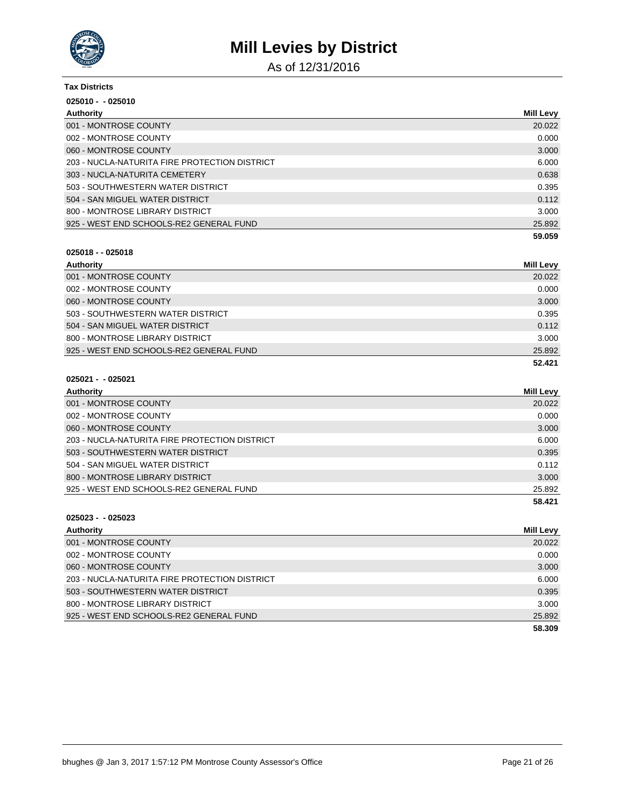

As of 12/31/2016

| <b>Tax Districts</b>                          |                  |  |
|-----------------------------------------------|------------------|--|
| $025010 - 025010$                             |                  |  |
| Authority                                     | <b>Mill Levy</b> |  |
| 001 - MONTROSE COUNTY                         | 20.022           |  |
| 002 - MONTROSE COUNTY                         | 0.000            |  |
| 060 - MONTROSE COUNTY                         | 3.000            |  |
| 203 - NUCLA-NATURITA FIRE PROTECTION DISTRICT | 6.000            |  |
| 303 - NUCLA-NATURITA CEMETERY                 | 0.638            |  |
| 503 - SOUTHWESTERN WATER DISTRICT             | 0.395            |  |
| 504 - SAN MIGUEL WATER DISTRICT               | 0.112            |  |
| 800 - MONTROSE LIBRARY DISTRICT               | 3.000            |  |
| 925 - WEST END SCHOOLS-RE2 GENERAL FUND       | 25.892           |  |
|                                               | 59.059           |  |

#### **025018 - - 025018**

| Authority                               | <b>Mill Levy</b> |
|-----------------------------------------|------------------|
| 001 - MONTROSE COUNTY                   | 20.022           |
| 002 - MONTROSE COUNTY                   | 0.000            |
| 060 - MONTROSE COUNTY                   | 3.000            |
| 503 - SOUTHWESTERN WATER DISTRICT       | 0.395            |
| 504 - SAN MIGUEL WATER DISTRICT         | 0.112            |
| 800 - MONTROSE LIBRARY DISTRICT         | 3.000            |
| 925 - WEST END SCHOOLS-RE2 GENERAL FUND | 25.892           |
|                                         | 52.421           |

### **025021 - - 025021**

| Authority                                     | <b>Mill Levy</b> |
|-----------------------------------------------|------------------|
| 001 - MONTROSE COUNTY                         | 20.022           |
| 002 - MONTROSE COUNTY                         | 0.000            |
| 060 - MONTROSE COUNTY                         | 3.000            |
| 203 - NUCLA-NATURITA FIRE PROTECTION DISTRICT | 6.000            |
| 503 - SOUTHWESTERN WATER DISTRICT             | 0.395            |
| 504 - SAN MIGUEL WATER DISTRICT               | 0.112            |
| 800 - MONTROSE LIBRARY DISTRICT               | 3.000            |
| 925 - WEST END SCHOOLS-RE2 GENERAL FUND       | 25.892           |
|                                               | 58.421           |

| Authority                                     | <b>Mill Levy</b> |
|-----------------------------------------------|------------------|
| 001 - MONTROSE COUNTY                         | 20.022           |
| 002 - MONTROSE COUNTY                         | 0.000            |
| 060 - MONTROSE COUNTY                         | 3.000            |
| 203 - NUCLA-NATURITA FIRE PROTECTION DISTRICT | 6.000            |
| 503 - SOUTHWESTERN WATER DISTRICT             | 0.395            |
| 800 - MONTROSE LIBRARY DISTRICT               | 3.000            |
| 925 - WEST END SCHOOLS-RE2 GENERAL FUND       | 25.892           |
|                                               | 58.309           |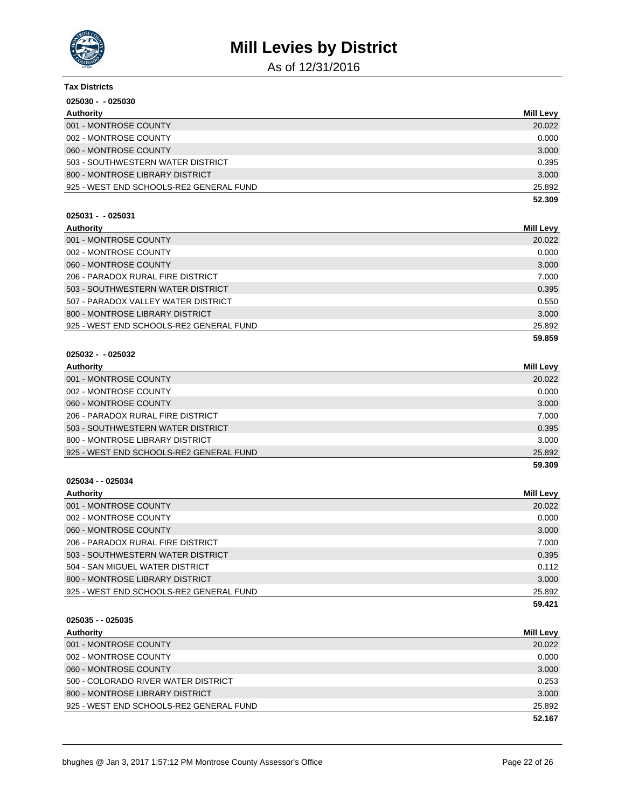

As of 12/31/2016

| <b>Tax Districts</b>                    |                  |
|-----------------------------------------|------------------|
| $025030 - 025030$                       |                  |
| <b>Authority</b>                        | <b>Mill Levy</b> |
| 001 - MONTROSE COUNTY                   | 20.022           |
| 002 - MONTROSE COUNTY                   | 0.000            |
| 060 - MONTROSE COUNTY                   | 3.000            |
| 503 - SOUTHWESTERN WATER DISTRICT       | 0.395            |
| 800 - MONTROSE LIBRARY DISTRICT         | 3.000            |
| 925 - WEST END SCHOOLS-RE2 GENERAL FUND | 25.892           |
|                                         | 52.309           |
| $025031 - 025031$                       |                  |
| Authority                               | Mill Levy        |
| 001 - MONTROSE COUNTY                   | 20.022           |
| 002 - MONTROSE COUNTY                   | 0.000            |
| 060 - MONTROSE COUNTY                   | 3.000            |
| 206 - PARADOX RURAL FIRE DISTRICT       | 7.000            |
| 503 - SOUTHWESTERN WATER DISTRICT       | 0.395            |
| 507 - PARADOX VALLEY WATER DISTRICT     | 0.550            |
| 800 - MONTROSE LIBRARY DISTRICT         | 3.000            |
| 925 - WEST END SCHOOLS-RE2 GENERAL FUND | 25.892           |

#### **025032 - - 025032**

| Authority                               | Mill Levy |
|-----------------------------------------|-----------|
| 001 - MONTROSE COUNTY                   | 20.022    |
| 002 - MONTROSE COUNTY                   | 0.000     |
| 060 - MONTROSE COUNTY                   | 3.000     |
| 206 - PARADOX RURAL FIRE DISTRICT       | 7.000     |
| 503 - SOUTHWESTERN WATER DISTRICT       | 0.395     |
| 800 - MONTROSE LIBRARY DISTRICT         | 3.000     |
| 925 - WEST END SCHOOLS-RE2 GENERAL FUND | 25.892    |
|                                         | 59.309    |

**025034 - - 025034**

| Authority                               | <b>Mill Levy</b> |
|-----------------------------------------|------------------|
| 001 - MONTROSE COUNTY                   | 20.022           |
| 002 - MONTROSE COUNTY                   | 0.000            |
| 060 - MONTROSE COUNTY                   | 3.000            |
| 206 - PARADOX RURAL FIRE DISTRICT       | 7.000            |
| 503 - SOUTHWESTERN WATER DISTRICT       | 0.395            |
| 504 - SAN MIGUEL WATER DISTRICT         | 0.112            |
| 800 - MONTROSE LIBRARY DISTRICT         | 3.000            |
| 925 - WEST END SCHOOLS-RE2 GENERAL FUND | 25.892           |
|                                         | 59.421           |

**025035 - - 025035**

| Authority                               | <b>Mill Levy</b> |
|-----------------------------------------|------------------|
| 001 - MONTROSE COUNTY                   | 20.022           |
| 002 - MONTROSE COUNTY                   | 0.000            |
| 060 - MONTROSE COUNTY                   | 3.000            |
| 500 - COLORADO RIVER WATER DISTRICT     | 0.253            |
| 800 - MONTROSE LIBRARY DISTRICT         | 3.000            |
| 925 - WEST END SCHOOLS-RE2 GENERAL FUND | 25.892           |
|                                         | 52.167           |

**59.859**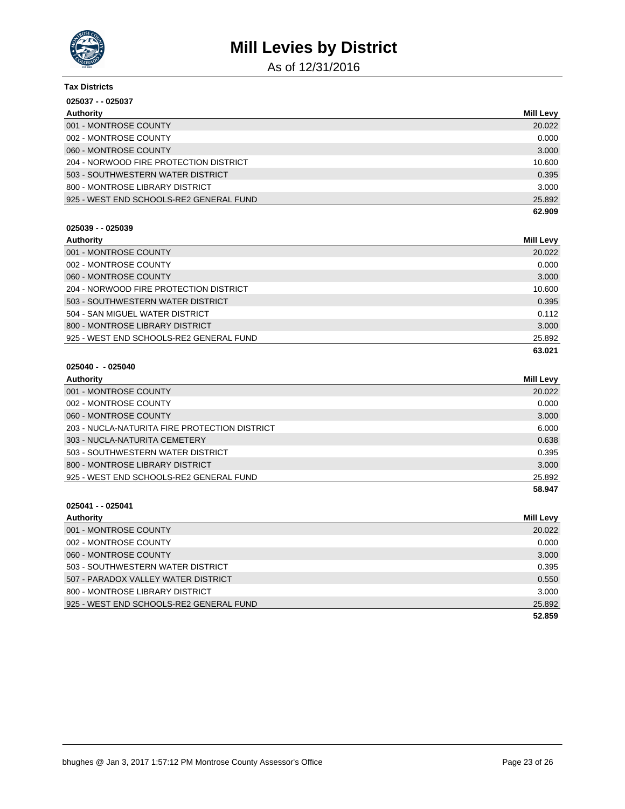

As of 12/31/2016

| <b>Tax Districts</b>                    |           |
|-----------------------------------------|-----------|
| 025037 - - 025037                       |           |
| Authority                               | Mill Levy |
| 001 - MONTROSE COUNTY                   | 20.022    |
| 002 - MONTROSE COUNTY                   | 0.000     |
| 060 - MONTROSE COUNTY                   | 3.000     |
| 204 - NORWOOD FIRE PROTECTION DISTRICT  | 10.600    |
| 503 - SOUTHWESTERN WATER DISTRICT       | 0.395     |
| 800 - MONTROSE LIBRARY DISTRICT         | 3.000     |
| 925 - WEST END SCHOOLS-RE2 GENERAL FUND | 25.892    |
|                                         | 62.909    |

### **025039 - - 025039**

| Authority                               | Mill Levy |
|-----------------------------------------|-----------|
| 001 - MONTROSE COUNTY                   | 20.022    |
| 002 - MONTROSE COUNTY                   | 0.000     |
| 060 - MONTROSE COUNTY                   | 3.000     |
| 204 - NORWOOD FIRE PROTECTION DISTRICT  | 10.600    |
| 503 - SOUTHWESTERN WATER DISTRICT       | 0.395     |
| 504 - SAN MIGUEL WATER DISTRICT         | 0.112     |
| 800 - MONTROSE LIBRARY DISTRICT         | 3.000     |
| 925 - WEST END SCHOOLS-RE2 GENERAL FUND | 25.892    |
|                                         | 63.021    |

### **025040 - - 025040**

| Authority                                     | Mill Levy |
|-----------------------------------------------|-----------|
| 001 - MONTROSE COUNTY                         | 20.022    |
| 002 - MONTROSE COUNTY                         | 0.000     |
| 060 - MONTROSE COUNTY                         | 3.000     |
| 203 - NUCLA-NATURITA FIRE PROTECTION DISTRICT | 6.000     |
| 303 - NUCLA-NATURITA CEMETERY                 | 0.638     |
| 503 - SOUTHWESTERN WATER DISTRICT             | 0.395     |
| 800 - MONTROSE LIBRARY DISTRICT               | 3.000     |
| 925 - WEST END SCHOOLS-RE2 GENERAL FUND       | 25.892    |
|                                               | 58.947    |

| Authority                               | <b>Mill Levy</b> |
|-----------------------------------------|------------------|
| 001 - MONTROSE COUNTY                   | 20.022           |
| 002 - MONTROSE COUNTY                   | 0.000            |
| 060 - MONTROSE COUNTY                   | 3.000            |
| 503 - SOUTHWESTERN WATER DISTRICT       | 0.395            |
| 507 - PARADOX VALLEY WATER DISTRICT     | 0.550            |
| 800 - MONTROSE LIBRARY DISTRICT         | 3.000            |
| 925 - WEST END SCHOOLS-RE2 GENERAL FUND | 25.892           |
|                                         | 52.859           |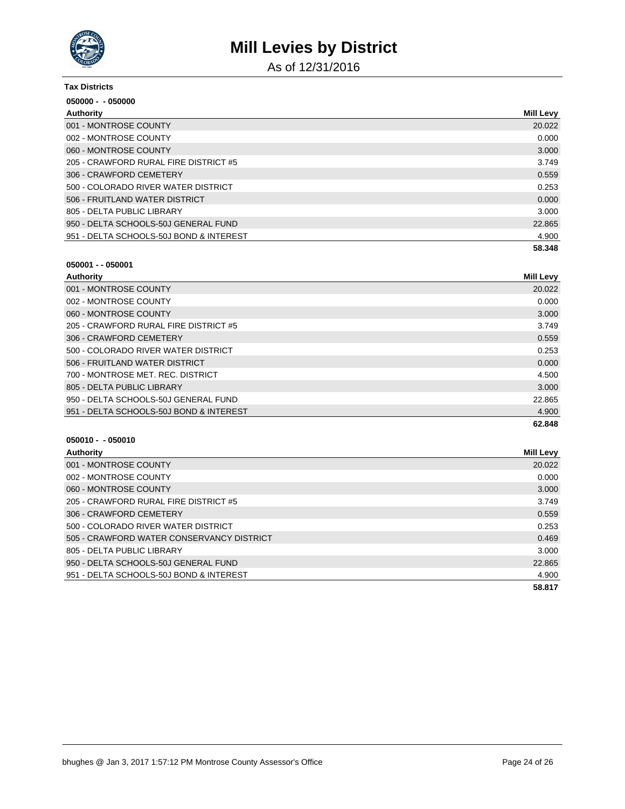

As of 12/31/2016

| <b>Tax Districts</b>                    |                  |
|-----------------------------------------|------------------|
| 050000 - - 050000                       |                  |
| Authority                               | <b>Mill Levy</b> |
| 001 - MONTROSE COUNTY                   | 20.022           |
| 002 - MONTROSE COUNTY                   | 0.000            |
| 060 - MONTROSE COUNTY                   | 3.000            |
| 205 - CRAWFORD RURAL FIRE DISTRICT #5   | 3.749            |
| 306 - CRAWFORD CEMETERY                 | 0.559            |
| 500 - COLORADO RIVER WATER DISTRICT     | 0.253            |
| 506 - FRUITLAND WATER DISTRICT          | 0.000            |
| 805 - DELTA PUBLIC LIBRARY              | 3.000            |
| 950 - DELTA SCHOOLS-50J GENERAL FUND    | 22.865           |
| 951 - DELTA SCHOOLS-50J BOND & INTEREST | 4.900            |
|                                         | 58.348           |

#### **050001 - - 050001**

| Authority                               | Mill Levy |
|-----------------------------------------|-----------|
| 001 - MONTROSE COUNTY                   | 20.022    |
| 002 - MONTROSE COUNTY                   | 0.000     |
| 060 - MONTROSE COUNTY                   | 3.000     |
| 205 - CRAWFORD RURAL FIRE DISTRICT #5   | 3.749     |
| 306 - CRAWFORD CEMETERY                 | 0.559     |
| 500 - COLORADO RIVER WATER DISTRICT     | 0.253     |
| 506 - FRUITLAND WATER DISTRICT          | 0.000     |
| 700 - MONTROSE MET. REC. DISTRICT       | 4.500     |
| 805 - DELTA PUBLIC LIBRARY              | 3.000     |
| 950 - DELTA SCHOOLS-50J GENERAL FUND    | 22.865    |
| 951 - DELTA SCHOOLS-50J BOND & INTEREST | 4.900     |
|                                         | 62.848    |

| Authority                                 | Mill Levy |
|-------------------------------------------|-----------|
| 001 - MONTROSE COUNTY                     | 20.022    |
| 002 - MONTROSE COUNTY                     | 0.000     |
| 060 - MONTROSE COUNTY                     | 3.000     |
| 205 - CRAWFORD RURAL FIRE DISTRICT #5     | 3.749     |
| 306 - CRAWFORD CEMETERY                   | 0.559     |
| 500 - COLORADO RIVER WATER DISTRICT       | 0.253     |
| 505 - CRAWFORD WATER CONSERVANCY DISTRICT | 0.469     |
| 805 - DELTA PUBLIC LIBRARY                | 3.000     |
| 950 - DELTA SCHOOLS-50J GENERAL FUND      | 22.865    |
| 951 - DELTA SCHOOLS-50J BOND & INTEREST   | 4.900     |
|                                           | 58.817    |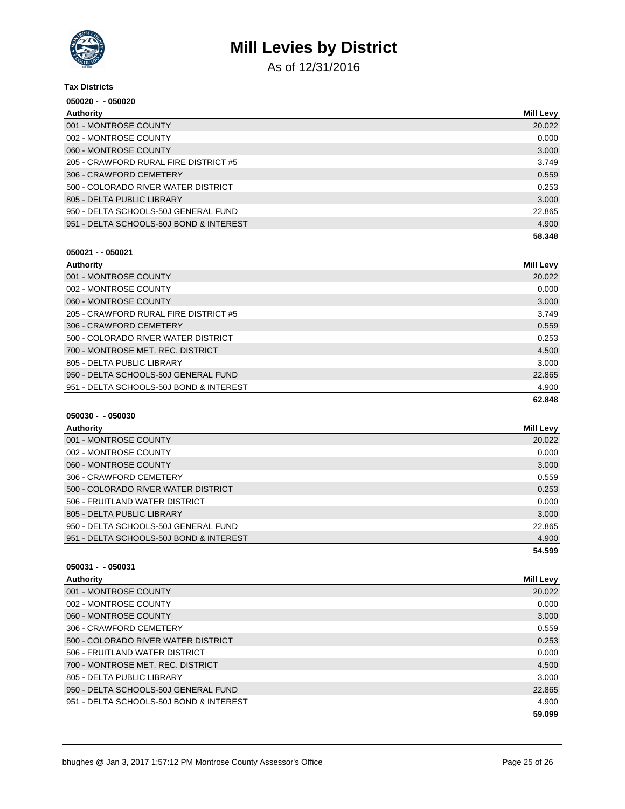

As of 12/31/2016

| <b>Tax Districts</b>                    |           |
|-----------------------------------------|-----------|
| $050020 - 050020$                       |           |
| Authority                               | Mill Levy |
| 001 - MONTROSE COUNTY                   | 20.022    |
| 002 - MONTROSE COUNTY                   | 0.000     |
| 060 - MONTROSE COUNTY                   | 3.000     |
| 205 - CRAWFORD RURAL FIRE DISTRICT #5   | 3.749     |
| 306 - CRAWFORD CEMETERY                 | 0.559     |
| 500 - COLORADO RIVER WATER DISTRICT     | 0.253     |
| 805 - DELTA PUBLIC LIBRARY              | 3.000     |
| 950 - DELTA SCHOOLS-50J GENERAL FUND    | 22.865    |
| 951 - DELTA SCHOOLS-50J BOND & INTEREST | 4.900     |
|                                         | 58.348    |

#### **050021 - - 050021**

| Authority                               | <b>Mill Levy</b> |
|-----------------------------------------|------------------|
| 001 - MONTROSE COUNTY                   | 20.022           |
| 002 - MONTROSE COUNTY                   | 0.000            |
| 060 - MONTROSE COUNTY                   | 3.000            |
| 205 - CRAWFORD RURAL FIRE DISTRICT #5   | 3.749            |
| 306 - CRAWFORD CEMETERY                 | 0.559            |
| 500 - COLORADO RIVER WATER DISTRICT     | 0.253            |
| 700 - MONTROSE MET. REC. DISTRICT       | 4.500            |
| 805 - DELTA PUBLIC LIBRARY              | 3.000            |
| 950 - DELTA SCHOOLS-50J GENERAL FUND    | 22.865           |
| 951 - DELTA SCHOOLS-50J BOND & INTEREST | 4.900            |
|                                         | 62.848           |

### **050030 - - 050030**

| Authority                               | Mill Levy |
|-----------------------------------------|-----------|
| 001 - MONTROSE COUNTY                   | 20.022    |
| 002 - MONTROSE COUNTY                   | 0.000     |
| 060 - MONTROSE COUNTY                   | 3.000     |
| 306 - CRAWFORD CEMETERY                 | 0.559     |
| 500 - COLORADO RIVER WATER DISTRICT     | 0.253     |
| 506 - FRUITLAND WATER DISTRICT          | 0.000     |
| 805 - DELTA PUBLIC LIBRARY              | 3.000     |
| 950 - DELTA SCHOOLS-50J GENERAL FUND    | 22.865    |
| 951 - DELTA SCHOOLS-50J BOND & INTEREST | 4.900     |
|                                         | 54.599    |

| Authority                               | <b>Mill Levy</b> |
|-----------------------------------------|------------------|
| 001 - MONTROSE COUNTY                   | 20.022           |
| 002 - MONTROSE COUNTY                   | 0.000            |
| 060 - MONTROSE COUNTY                   | 3.000            |
| 306 - CRAWFORD CEMETERY                 | 0.559            |
| 500 - COLORADO RIVER WATER DISTRICT     | 0.253            |
| 506 - FRUITLAND WATER DISTRICT          | 0.000            |
| 700 - MONTROSE MET. REC. DISTRICT       | 4.500            |
| 805 - DELTA PUBLIC LIBRARY              | 3.000            |
| 950 - DELTA SCHOOLS-50J GENERAL FUND    | 22.865           |
| 951 - DELTA SCHOOLS-50J BOND & INTEREST | 4.900            |
|                                         | 59.099           |